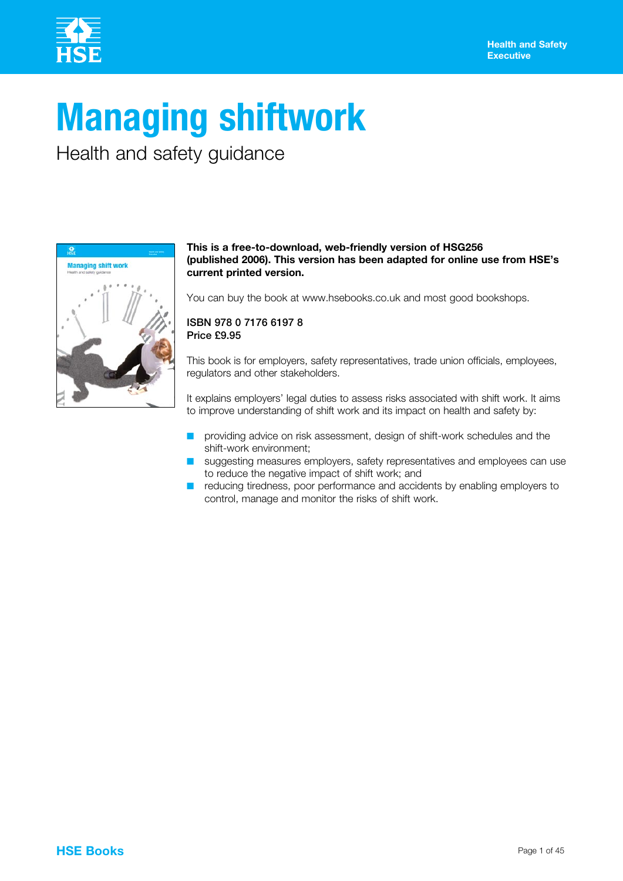

# **Managing shiftwork**

Health and safety guidance



#### **This is a free-to-download, web-friendly version of HSG256 (published 2006). This version has been adapted for online use from HSE's current printed version.**

You can buy the book at www.hsebooks.co.uk and most good bookshops.

#### ISBN 978 0 7176 6197 8 Price £9.95

This book is for employers, safety representatives, trade union officials, employees, regulators and other stakeholders.

It explains employers' legal duties to assess risks associated with shift work. It aims to improve understanding of shift work and its impact on health and safety by:

- providing advice on risk assessment, design of shift-work schedules and the shift-work environment;
- suggesting measures employers, safety representatives and employees can use to reduce the negative impact of shift work; and
- $\blacksquare$  reducing tiredness, poor performance and accidents by enabling employers to control, manage and monitor the risks of shift work.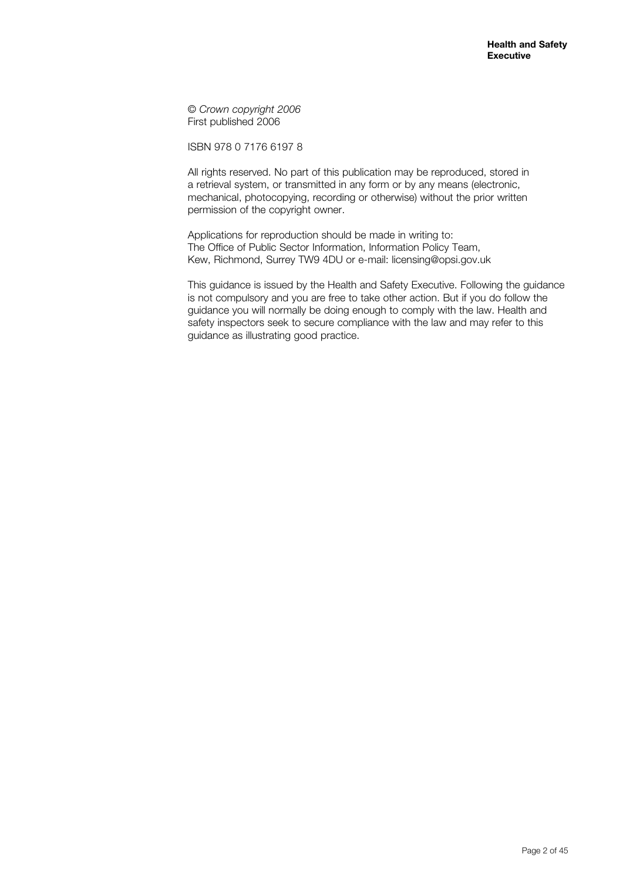© *Crown copyright 2006* First published 2006

ISBN 978 0 7176 6197 8

All rights reserved. No part of this publication may be reproduced, stored in a retrieval system, or transmitted in any form or by any means (electronic, mechanical, photocopying, recording or otherwise) without the prior written permission of the copyright owner.

Applications for reproduction should be made in writing to: The Office of Public Sector Information, Information Policy Team, Kew, Richmond, Surrey TW9 4DU or e-mail: licensing@opsi.gov.uk

This guidance is issued by the Health and Safety Executive. Following the guidance is not compulsory and you are free to take other action. But if you do follow the guidance you will normally be doing enough to comply with the law. Health and safety inspectors seek to secure compliance with the law and may refer to this guidance as illustrating good practice.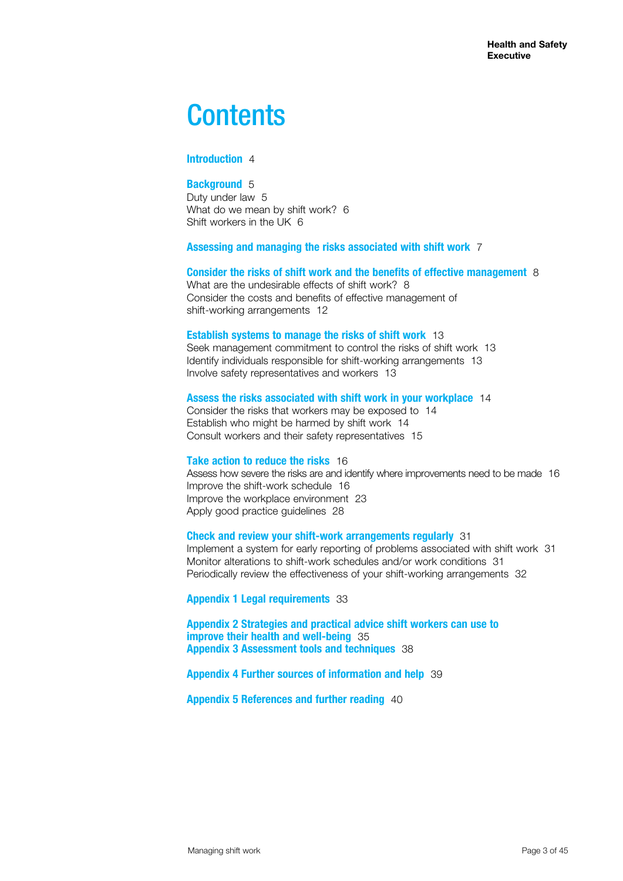# **Contents**

#### **Introduction** 4

#### **Background** 5

Duty under law 5 What do we mean by shift work? 6 Shift workers in the UK 6

#### **Assessing and managing the risks associated with shift work** 7

#### **Consider the risks of shift work and the benefits of effective management** 8

What are the undesirable effects of shift work? 8 Consider the costs and benefits of effective management of shift-working arrangements 12

#### **Establish systems to manage the risks of shift work** 13

Seek management commitment to control the risks of shift work 13 Identify individuals responsible for shift-working arrangements 13 Involve safety representatives and workers 13

#### **Assess the risks associated with shift work in your workplace** 14

Consider the risks that workers may be exposed to 14 Establish who might be harmed by shift work 14 Consult workers and their safety representatives 15

#### **Take action to reduce the risks** 16

Assess how severe the risks are and identify where improvements need to be made 16 Improve the shift-work schedule 16 Improve the workplace environment 23 Apply good practice guidelines 28

#### **Check and review your shift-work arrangements regularly** 31

Implement a system for early reporting of problems associated with shift work 31 Monitor alterations to shift-work schedules and/or work conditions 31 Periodically review the effectiveness of your shift-working arrangements 32

#### **Appendix 1 Legal requirements** 33

**Appendix 2 Strategies and practical advice shift workers can use to improve their health and well-being** 35 **Appendix 3 Assessment tools and techniques** 38

#### **Appendix 4 Further sources of information and help** 39

**Appendix 5 References and further reading** 40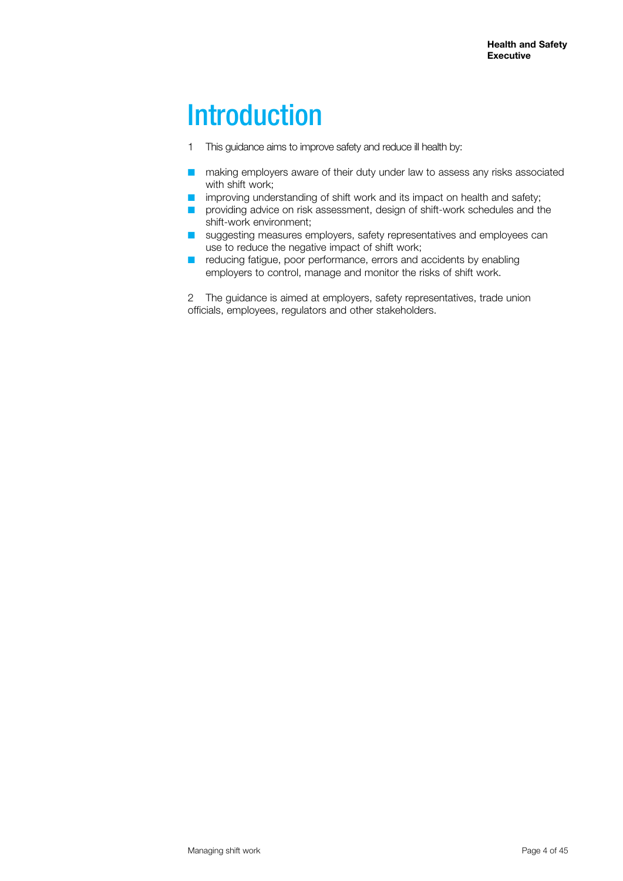# **Introduction**

- 1 This guidance aims to improve safety and reduce ill health by:
- $\blacksquare$  making employers aware of their duty under law to assess any risks associated with shift work;
- $\blacksquare$  improving understanding of shift work and its impact on health and safety;
- noviding advice on risk assessment, design of shift-work schedules and the shift-work environment;
- suggesting measures employers, safety representatives and employees can use to reduce the negative impact of shift work;
- $\blacksquare$  reducing fatigue, poor performance, errors and accidents by enabling employers to control, manage and monitor the risks of shift work.

2 The guidance is aimed at employers, safety representatives, trade union officials, employees, regulators and other stakeholders.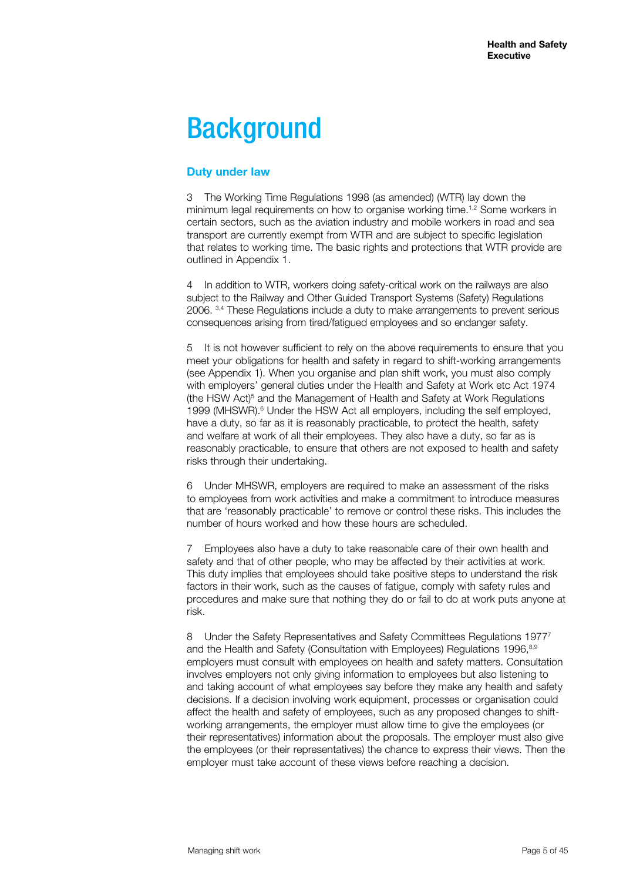# **Background**

# **Duty under law**

3 The Working Time Regulations 1998 (as amended) (WTR) lay down the minimum legal requirements on how to organise working time.<sup>1,2</sup> Some workers in certain sectors, such as the aviation industry and mobile workers in road and sea transport are currently exempt from WTR and are subject to specific legislation that relates to working time. The basic rights and protections that WTR provide are outlined in Appendix 1.

In addition to WTR, workers doing safety-critical work on the railways are also subject to the Railway and Other Guided Transport Systems (Safety) Regulations 2006. 3,4 These Regulations include a duty to make arrangements to prevent serious consequences arising from tired/fatigued employees and so endanger safety.

5 It is not however sufficient to rely on the above requirements to ensure that you meet your obligations for health and safety in regard to shift-working arrangements (see Appendix 1). When you organise and plan shift work, you must also comply with employers' general duties under the Health and Safety at Work etc Act 1974 (the HSW Act)<sup>5</sup> and the Management of Health and Safety at Work Regulations 1999 (MHSWR).<sup>6</sup> Under the HSW Act all employers, including the self employed, have a duty, so far as it is reasonably practicable, to protect the health, safety and welfare at work of all their employees. They also have a duty, so far as is reasonably practicable, to ensure that others are not exposed to health and safety risks through their undertaking.

6 Under MHSWR, employers are required to make an assessment of the risks to employees from work activities and make a commitment to introduce measures that are 'reasonably practicable' to remove or control these risks. This includes the number of hours worked and how these hours are scheduled.

7 Employees also have a duty to take reasonable care of their own health and safety and that of other people, who may be affected by their activities at work. This duty implies that employees should take positive steps to understand the risk factors in their work, such as the causes of fatigue, comply with safety rules and procedures and make sure that nothing they do or fail to do at work puts anyone at risk.

8 Under the Safety Representatives and Safety Committees Regulations 1977<sup>7</sup> and the Health and Safety (Consultation with Employees) Regulations 1996.<sup>8,9</sup> employers must consult with employees on health and safety matters. Consultation involves employers not only giving information to employees but also listening to and taking account of what employees say before they make any health and safety decisions. If a decision involving work equipment, processes or organisation could affect the health and safety of employees, such as any proposed changes to shiftworking arrangements, the employer must allow time to give the employees (or their representatives) information about the proposals. The employer must also give the employees (or their representatives) the chance to express their views. Then the employer must take account of these views before reaching a decision.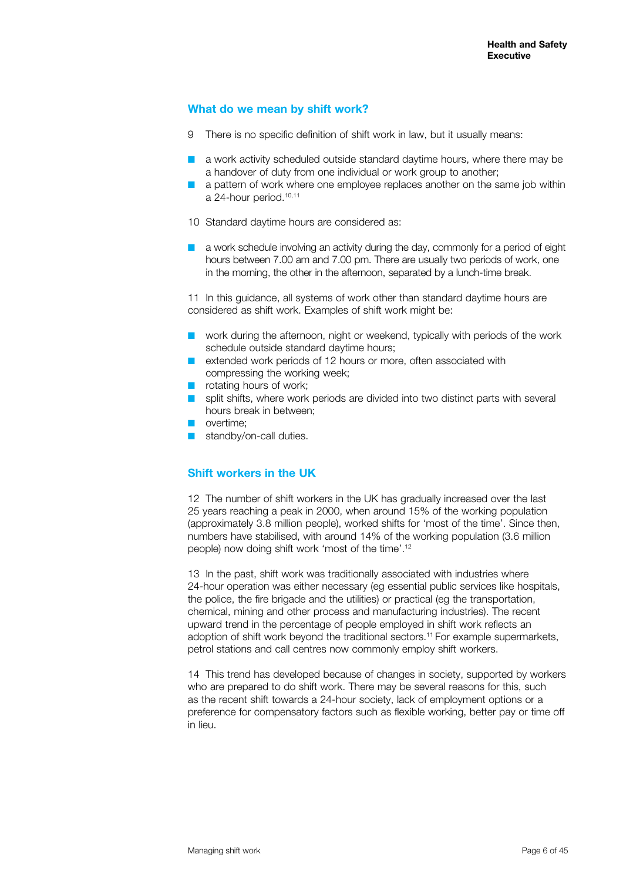#### **What do we mean by shift work?**

- 9 There is no specific definition of shift work in law, but it usually means:
- a work activity scheduled outside standard daytime hours, where there may be a handover of duty from one individual or work group to another;
- a pattern of work where one employee replaces another on the same job within a 24-hour period.<sup>10,11</sup>
- 10 Standard daytime hours are considered as:
- $\blacksquare$  a work schedule involving an activity during the day, commonly for a period of eight hours between 7.00 am and 7.00 pm. There are usually two periods of work, one in the morning, the other in the afternoon, separated by a lunch-time break.

11 In this guidance, all systems of work other than standard daytime hours are considered as shift work. Examples of shift work might be:

- $\blacksquare$  work during the afternoon, night or weekend, typically with periods of the work schedule outside standard daytime hours;
- $\blacksquare$  extended work periods of 12 hours or more, often associated with compressing the working week;
- $\blacksquare$  rotating hours of work;
- $\Box$  split shifts, where work periods are divided into two distinct parts with several hours break in between;
- **n** overtime:
- standby/on-call duties.

# **Shift workers in the UK**

12 The number of shift workers in the UK has gradually increased over the last 25 years reaching a peak in 2000, when around 15% of the working population (approximately 3.8 million people), worked shifts for 'most of the time'. Since then, numbers have stabilised, with around 14% of the working population (3.6 million people) now doing shift work 'most of the time'.12

13 In the past, shift work was traditionally associated with industries where 24-hour operation was either necessary (eg essential public services like hospitals, the police, the fire brigade and the utilities) or practical (eg the transportation, chemical, mining and other process and manufacturing industries). The recent upward trend in the percentage of people employed in shift work reflects an adoption of shift work beyond the traditional sectors.11 For example supermarkets, petrol stations and call centres now commonly employ shift workers.

14 This trend has developed because of changes in society, supported by workers who are prepared to do shift work. There may be several reasons for this, such as the recent shift towards a 24-hour society, lack of employment options or a preference for compensatory factors such as flexible working, better pay or time off in lieu.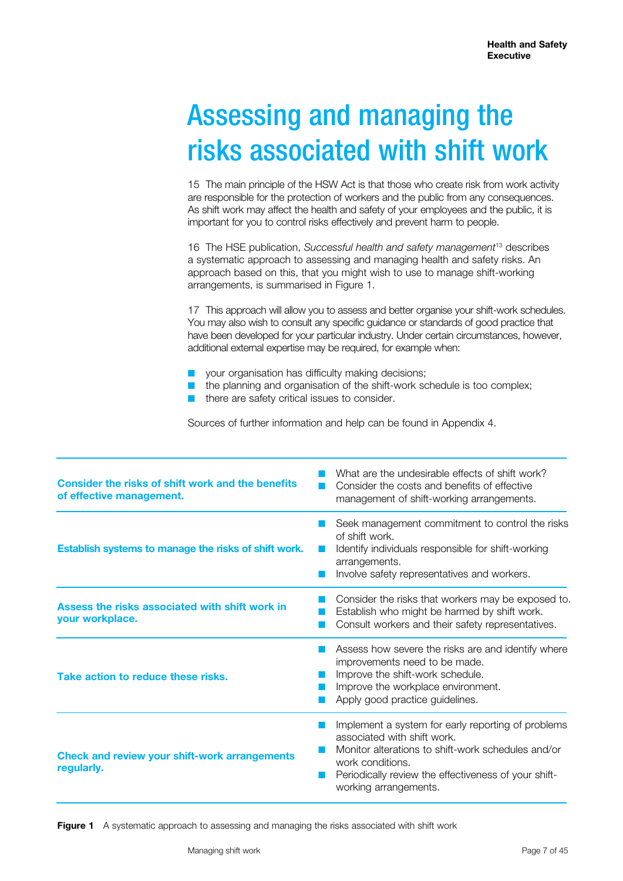# Assessing and managing the risks associated with shift work

15 The main principle of the HSW Act is that those who create risk from work activity are responsible for the protection of workers and the public from any consequences. As shift work may affect the health and safety of your employees and the public, it is important for you to control risks effectively and prevent harm to people.

16 The HSE publication, *Successful health and safety management*13 describes a systematic approach to assessing and managing health and safety risks. An approach based on this, that you might wish to use to manage shift-working arrangements, is summarised in Figure 1.

17 This approach will allow you to assess and better organise your shift-work schedules. You may also wish to consult any specific guidance or standards of good practice that have been developed for your particular industry. Under certain circumstances, however, additional external expertise may be required, for example when:

- your organisation has difficulty making decisions;
- the planning and organisation of the shift-work schedule is too complex;
- there are safety critical issues to consider.

Sources of further information and help can be found in Appendix 4.

| Consider the risks of shift work and the benefits<br>of effective management. | What are the undesirable effects of shift work?<br>Consider the costs and benefits of effective<br>management of shift-working arrangements.                                                                                                 |
|-------------------------------------------------------------------------------|----------------------------------------------------------------------------------------------------------------------------------------------------------------------------------------------------------------------------------------------|
| Establish systems to manage the risks of shift work.                          | Seek management commitment to control the risks<br>of shift work.<br>Identify individuals responsible for shift-working<br>arrangements.<br>Involve safety representatives and workers.                                                      |
| Assess the risks associated with shift work in<br>your workplace.             | Consider the risks that workers may be exposed to.<br>Establish who might be harmed by shift work.<br>Consult workers and their safety representatives.                                                                                      |
| Take action to reduce these risks.                                            | Assess how severe the risks are and identify where<br>improvements need to be made.<br>Improve the shift-work schedule.<br>Improve the workplace environment.<br>Apply good practice guidelines.                                             |
| <b>Check and review your shift-work arrangements</b><br>regularly.            | Implement a system for early reporting of problems<br>associated with shift work.<br>Monitor alterations to shift-work schedules and/or<br>work conditions.<br>Periodically review the effectiveness of your shift-<br>working arrangements. |

**Figure 1** A systematic approach to assessing and managing the risks associated with shift work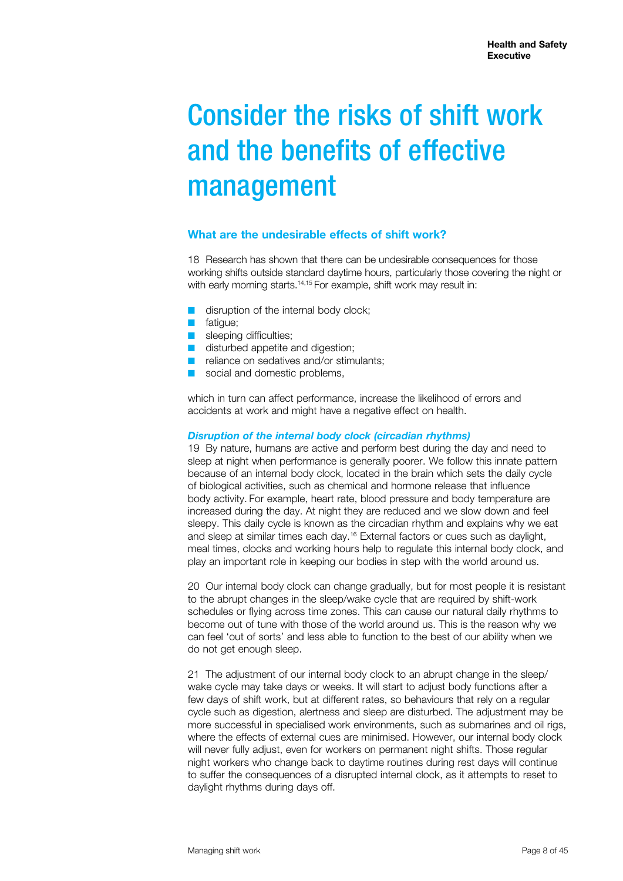# Consider the risks of shift work and the benefits of effective management

### **What are the undesirable effects of shift work?**

18 Research has shown that there can be undesirable consequences for those working shifts outside standard daytime hours, particularly those covering the night or with early morning starts.<sup>14,15</sup> For example, shift work may result in:

- $\blacksquare$  disruption of the internal body clock;
- **n** fatigue;
- sleeping difficulties;
- $\blacksquare$  disturbed appetite and digestion;
- $\blacksquare$  reliance on sedatives and/or stimulants;
- social and domestic problems,

which in turn can affect performance, increase the likelihood of errors and accidents at work and might have a negative effect on health.

#### *Disruption of the internal body clock (circadian rhythms)*

19 By nature, humans are active and perform best during the day and need to sleep at night when performance is generally poorer. We follow this innate pattern because of an internal body clock, located in the brain which sets the daily cycle of biological activities, such as chemical and hormone release that influence body activity. For example, heart rate, blood pressure and body temperature are increased during the day. At night they are reduced and we slow down and feel sleepy. This daily cycle is known as the circadian rhythm and explains why we eat and sleep at similar times each day.16 External factors or cues such as daylight, meal times, clocks and working hours help to regulate this internal body clock, and play an important role in keeping our bodies in step with the world around us.

20 Our internal body clock can change gradually, but for most people it is resistant to the abrupt changes in the sleep/wake cycle that are required by shift-work schedules or flying across time zones. This can cause our natural daily rhythms to become out of tune with those of the world around us. This is the reason why we can feel 'out of sorts' and less able to function to the best of our ability when we do not get enough sleep.

21 The adjustment of our internal body clock to an abrupt change in the sleep/ wake cycle may take days or weeks. It will start to adjust body functions after a few days of shift work, but at different rates, so behaviours that rely on a regular cycle such as digestion, alertness and sleep are disturbed. The adjustment may be more successful in specialised work environments, such as submarines and oil rigs, where the effects of external cues are minimised. However, our internal body clock will never fully adjust, even for workers on permanent night shifts. Those regular night workers who change back to daytime routines during rest days will continue to suffer the consequences of a disrupted internal clock, as it attempts to reset to daylight rhythms during days off.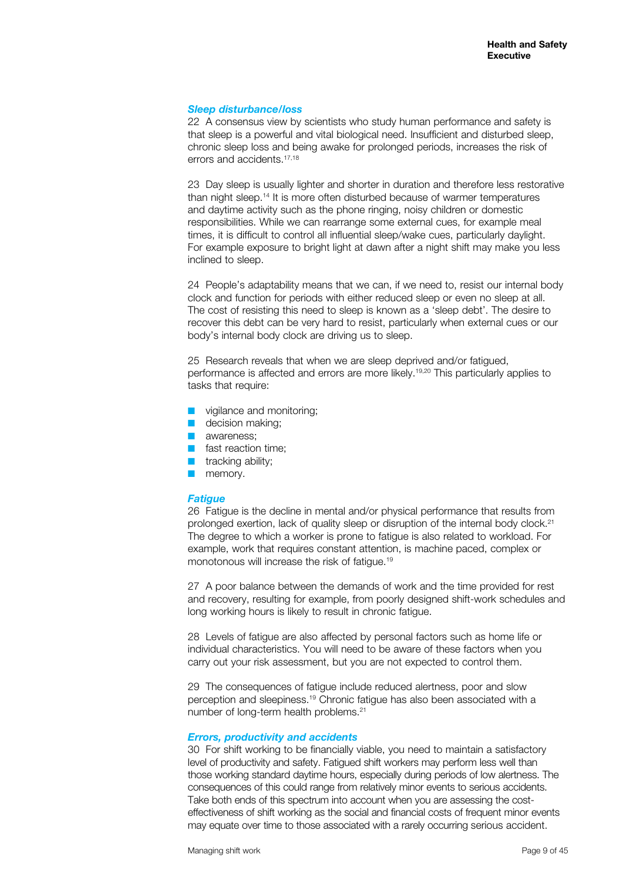#### *Sleep disturbance/loss*

22 A consensus view by scientists who study human performance and safety is that sleep is a powerful and vital biological need. Insufficient and disturbed sleep, chronic sleep loss and being awake for prolonged periods, increases the risk of errors and accidents.17,18

23 Day sleep is usually lighter and shorter in duration and therefore less restorative than night sleep.<sup>14</sup> It is more often disturbed because of warmer temperatures and daytime activity such as the phone ringing, noisy children or domestic responsibilities. While we can rearrange some external cues, for example meal times, it is difficult to control all influential sleep/wake cues, particularly daylight. For example exposure to bright light at dawn after a night shift may make you less inclined to sleep.

24 People's adaptability means that we can, if we need to, resist our internal body clock and function for periods with either reduced sleep or even no sleep at all. The cost of resisting this need to sleep is known as a 'sleep debt'. The desire to recover this debt can be very hard to resist, particularly when external cues or our body's internal body clock are driving us to sleep.

25 Research reveals that when we are sleep deprived and/or fatigued, performance is affected and errors are more likely.19,20 This particularly applies to tasks that require:

- $\blacksquare$  vigilance and monitoring;
- $\blacksquare$  decision making;
- **awareness;**
- $\blacksquare$  fast reaction time;
- $\blacksquare$  tracking ability;
- **n** memory.

#### *Fatigue*

26 Fatigue is the decline in mental and/or physical performance that results from prolonged exertion, lack of quality sleep or disruption of the internal body clock.<sup>21</sup> The degree to which a worker is prone to fatigue is also related to workload. For example, work that requires constant attention, is machine paced, complex or monotonous will increase the risk of fatigue.<sup>19</sup>

27 A poor balance between the demands of work and the time provided for rest and recovery, resulting for example, from poorly designed shift-work schedules and long working hours is likely to result in chronic fatigue.

28 Levels of fatigue are also affected by personal factors such as home life or individual characteristics. You will need to be aware of these factors when you carry out your risk assessment, but you are not expected to control them.

29 The consequences of fatigue include reduced alertness, poor and slow perception and sleepiness.19 Chronic fatigue has also been associated with a number of long-term health problems.21

#### *Errors, productivity and accidents*

30 For shift working to be financially viable, you need to maintain a satisfactory level of productivity and safety. Fatigued shift workers may perform less well than those working standard daytime hours, especially during periods of low alertness. The consequences of this could range from relatively minor events to serious accidents. Take both ends of this spectrum into account when you are assessing the costeffectiveness of shift working as the social and financial costs of frequent minor events may equate over time to those associated with a rarely occurring serious accident.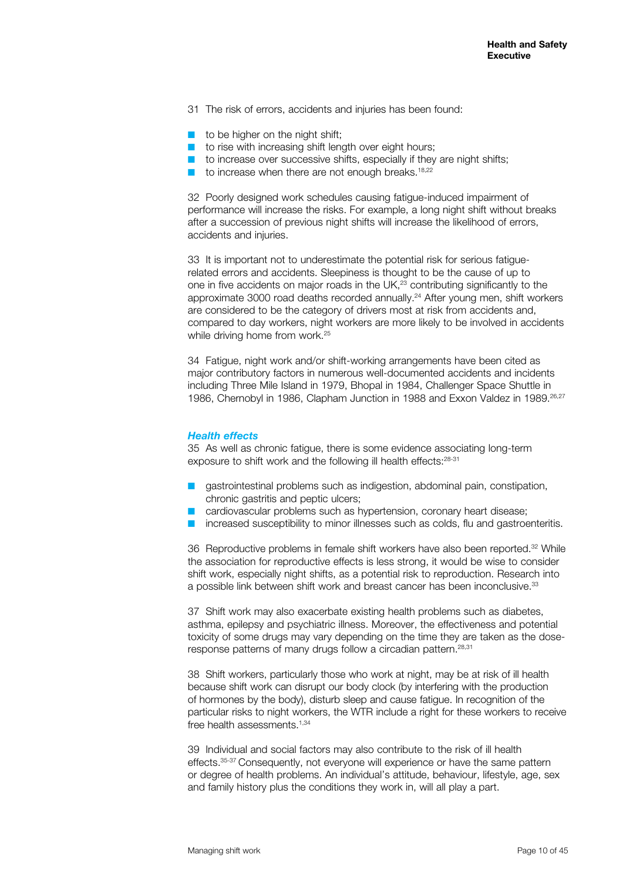- 31 The risk of errors, accidents and injuries has been found:
- $\blacksquare$  to be higher on the night shift;
- $\blacksquare$  to rise with increasing shift length over eight hours;
- to increase over successive shifts, especially if they are night shifts;
- to increase when there are not enough breaks.<sup>18,22</sup>

32 Poorly designed work schedules causing fatigue-induced impairment of performance will increase the risks. For example, a long night shift without breaks after a succession of previous night shifts will increase the likelihood of errors, accidents and injuries.

33 It is important not to underestimate the potential risk for serious fatiguerelated errors and accidents. Sleepiness is thought to be the cause of up to one in five accidents on major roads in the UK,<sup>23</sup> contributing significantly to the approximate 3000 road deaths recorded annually.<sup>24</sup> After young men, shift workers are considered to be the category of drivers most at risk from accidents and, compared to day workers, night workers are more likely to be involved in accidents while driving home from work.<sup>25</sup>

34 Fatigue, night work and/or shift-working arrangements have been cited as major contributory factors in numerous well-documented accidents and incidents including Three Mile Island in 1979, Bhopal in 1984, Challenger Space Shuttle in 1986, Chernobyl in 1986, Clapham Junction in 1988 and Exxon Valdez in 1989.26,27

#### *Health effects*

35 As well as chronic fatigue, there is some evidence associating long-term exposure to shift work and the following ill health effects: 28-31

- gastrointestinal problems such as indigestion, abdominal pain, constipation, chronic gastritis and peptic ulcers;
- cardiovascular problems such as hypertension, coronary heart disease;
- increased susceptibility to minor illnesses such as colds, flu and gastroenteritis.

36 Reproductive problems in female shift workers have also been reported.<sup>32</sup> While the association for reproductive effects is less strong, it would be wise to consider shift work, especially night shifts, as a potential risk to reproduction. Research into a possible link between shift work and breast cancer has been inconclusive.<sup>33</sup>

37 Shift work may also exacerbate existing health problems such as diabetes, asthma, epilepsy and psychiatric illness. Moreover, the effectiveness and potential toxicity of some drugs may vary depending on the time they are taken as the doseresponse patterns of many drugs follow a circadian pattern.28,31

38 Shift workers, particularly those who work at night, may be at risk of ill health because shift work can disrupt our body clock (by interfering with the production of hormones by the body), disturb sleep and cause fatigue. In recognition of the particular risks to night workers, the WTR include a right for these workers to receive free health assessments.<sup>1,34</sup>

39 Individual and social factors may also contribute to the risk of ill health effects.35-37 Consequently, not everyone will experience or have the same pattern or degree of health problems. An individual's attitude, behaviour, lifestyle, age, sex and family history plus the conditions they work in, will all play a part.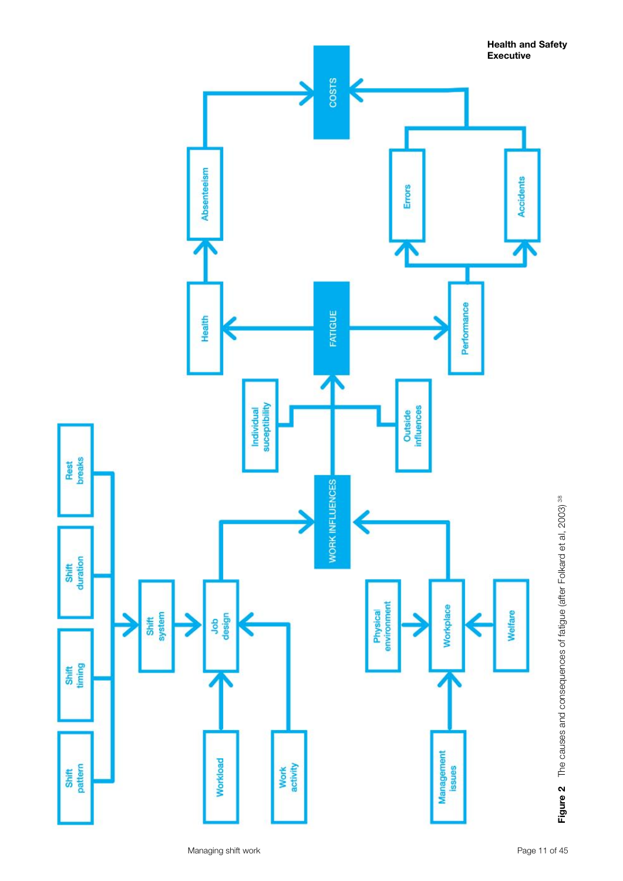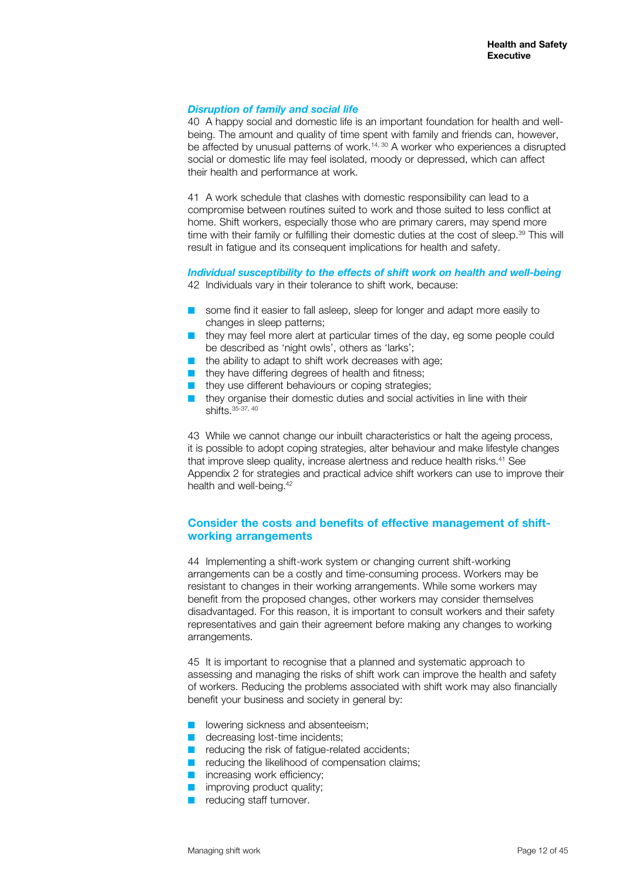#### *Disruption of family and social life*

40 A happy social and domestic life is an important foundation for health and wellbeing. The amount and quality of time spent with family and friends can, however, be affected by unusual patterns of work.14, 30 A worker who experiences a disrupted social or domestic life may feel isolated, moody or depressed, which can affect their health and performance at work.

41 A work schedule that clashes with domestic responsibility can lead to a compromise between routines suited to work and those suited to less conflict at home. Shift workers, especially those who are primary carers, may spend more time with their family or fulfilling their domestic duties at the cost of sleep.<sup>39</sup> This will result in fatigue and its consequent implications for health and safety.

*Individual susceptibility to the effects of shift work on health and well-being* 42 Individuals vary in their tolerance to shift work, because:

- $\blacksquare$  some find it easier to fall asleep, sleep for longer and adapt more easily to changes in sleep patterns;
- $\blacksquare$  they may feel more alert at particular times of the day, eg some people could be described as 'night owls', others as 'larks';
- $\blacksquare$  the ability to adapt to shift work decreases with age;
- $\blacksquare$  they have differing degrees of health and fitness;
- $\blacksquare$  they use different behaviours or coping strategies;
- $\blacksquare$  they organise their domestic duties and social activities in line with their shifts. 35-37, 40

43 While we cannot change our inbuilt characteristics or halt the ageing process, it is possible to adopt coping strategies, alter behaviour and make lifestyle changes that improve sleep quality, increase alertness and reduce health risks.<sup>41</sup> See Appendix 2 for strategies and practical advice shift workers can use to improve their health and well-being.<sup>42</sup>

#### **Consider the costs and benefits of effective management of shiftworking arrangements**

44 Implementing a shift-work system or changing current shift-working arrangements can be a costly and time-consuming process. Workers may be resistant to changes in their working arrangements. While some workers may benefit from the proposed changes, other workers may consider themselves disadvantaged. For this reason, it is important to consult workers and their safety representatives and gain their agreement before making any changes to working arrangements.

45 It is important to recognise that a planned and systematic approach to assessing and managing the risks of shift work can improve the health and safety of workers. Reducing the problems associated with shift work may also financially benefit your business and society in general by:

- **n** lowering sickness and absenteeism;
- $\blacksquare$  decreasing lost-time incidents:
- $\blacksquare$  reducing the risk of fatigue-related accidents;
- $\blacksquare$  reducing the likelihood of compensation claims;
- $\blacksquare$  increasing work efficiency;
- $\blacksquare$  improving product quality;
- $\blacksquare$  reducing staff turnover.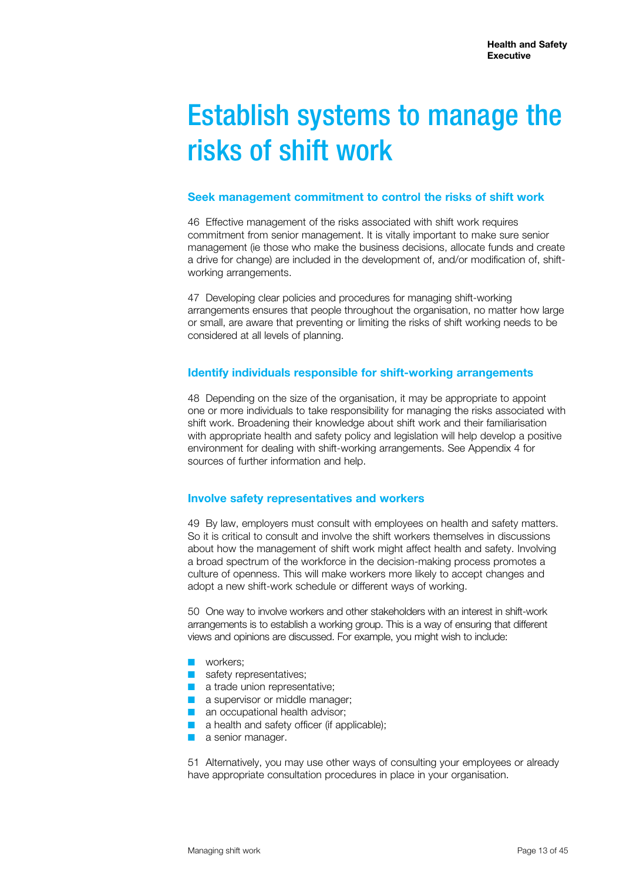# Establish systems to manage the risks of shift work

#### **Seek management commitment to control the risks of shift work**

46 Effective management of the risks associated with shift work requires commitment from senior management. It is vitally important to make sure senior management (ie those who make the business decisions, allocate funds and create a drive for change) are included in the development of, and/or modification of, shiftworking arrangements.

47 Developing clear policies and procedures for managing shift-working arrangements ensures that people throughout the organisation, no matter how large or small, are aware that preventing or limiting the risks of shift working needs to be considered at all levels of planning.

### **Identify individuals responsible for shift-working arrangements**

48 Depending on the size of the organisation, it may be appropriate to appoint one or more individuals to take responsibility for managing the risks associated with shift work. Broadening their knowledge about shift work and their familiarisation with appropriate health and safety policy and legislation will help develop a positive environment for dealing with shift-working arrangements. See Appendix 4 for sources of further information and help.

#### **Involve safety representatives and workers**

49 By law, employers must consult with employees on health and safety matters. So it is critical to consult and involve the shift workers themselves in discussions about how the management of shift work might affect health and safety. Involving a broad spectrum of the workforce in the decision-making process promotes a culture of openness. This will make workers more likely to accept changes and adopt a new shift-work schedule or different ways of working.

50 One way to involve workers and other stakeholders with an interest in shift-work arrangements is to establish a working group. This is a way of ensuring that different views and opinions are discussed. For example, you might wish to include:

- **n** workers:
- $\blacksquare$  safety representatives:
- $\blacksquare$  a trade union representative:
- $\blacksquare$  a supervisor or middle manager;
- $\blacksquare$  an occupational health advisor;
- a health and safety officer (if applicable);
- a senior manager.

51 Alternatively, you may use other ways of consulting your employees or already have appropriate consultation procedures in place in your organisation.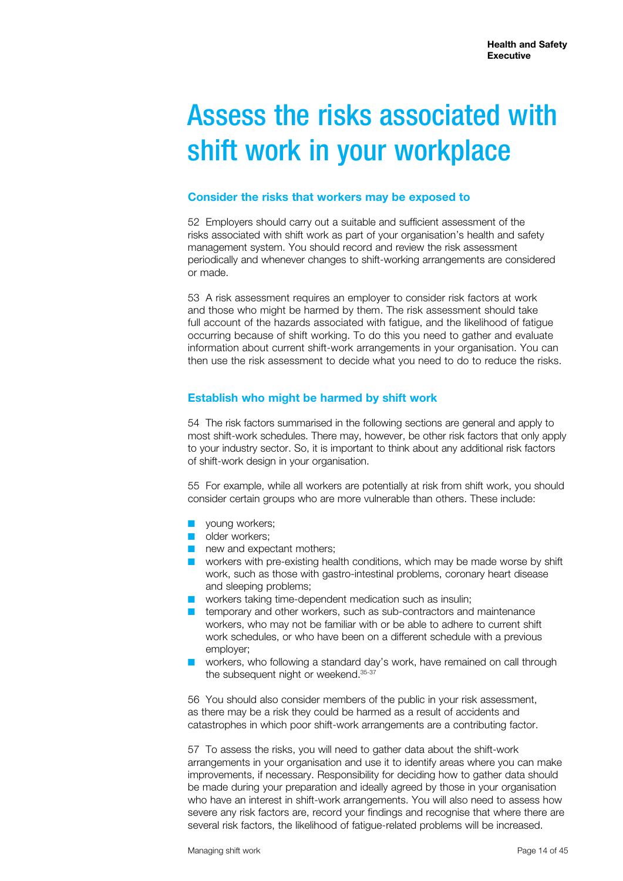# Assess the risks associated with shift work in your workplace

#### **Consider the risks that workers may be exposed to**

52 Employers should carry out a suitable and sufficient assessment of the risks associated with shift work as part of your organisation's health and safety management system. You should record and review the risk assessment periodically and whenever changes to shift-working arrangements are considered or made.

53 A risk assessment requires an employer to consider risk factors at work and those who might be harmed by them. The risk assessment should take full account of the hazards associated with fatigue, and the likelihood of fatigue occurring because of shift working. To do this you need to gather and evaluate information about current shift-work arrangements in your organisation. You can then use the risk assessment to decide what you need to do to reduce the risks.

# **Establish who might be harmed by shift work**

54 The risk factors summarised in the following sections are general and apply to most shift-work schedules. There may, however, be other risk factors that only apply to your industry sector. So, it is important to think about any additional risk factors of shift-work design in your organisation.

55 For example, while all workers are potentially at risk from shift work, you should consider certain groups who are more vulnerable than others. These include:

- **n** voung workers:
- **n** older workers:
- $\blacksquare$  new and expectant mothers;
- $\blacksquare$  workers with pre-existing health conditions, which may be made worse by shift work, such as those with gastro-intestinal problems, coronary heart disease and sleeping problems;
- $\blacksquare$  workers taking time-dependent medication such as insulin;
- $\blacksquare$  temporary and other workers, such as sub-contractors and maintenance workers, who may not be familiar with or be able to adhere to current shift work schedules, or who have been on a different schedule with a previous employer;
- workers, who following a standard day's work, have remained on call through the subsequent night or weekend. 35-37

56 You should also consider members of the public in your risk assessment, as there may be a risk they could be harmed as a result of accidents and catastrophes in which poor shift-work arrangements are a contributing factor.

57 To assess the risks, you will need to gather data about the shift-work arrangements in your organisation and use it to identify areas where you can make improvements, if necessary. Responsibility for deciding how to gather data should be made during your preparation and ideally agreed by those in your organisation who have an interest in shift-work arrangements. You will also need to assess how severe any risk factors are, record your findings and recognise that where there are several risk factors, the likelihood of fatigue-related problems will be increased.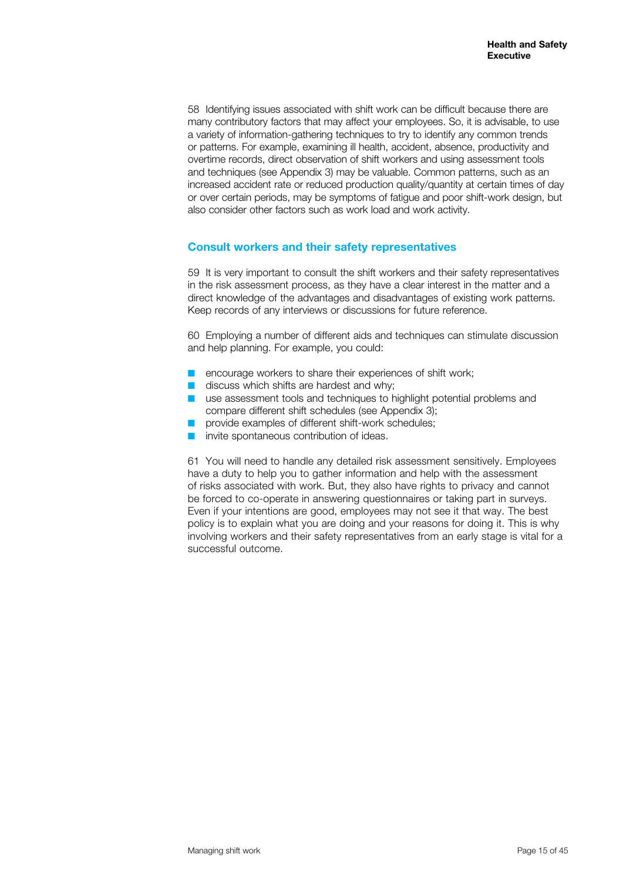58 Identifying issues associated with shift work can be difficult because there are many contributory factors that may affect your employees. So, it is advisable, to use a variety of information-gathering techniques to try to identify any common trends or patterns. For example, examining ill health, accident, absence, productivity and overtime records, direct observation of shift workers and using assessment tools and techniques (see Appendix 3) may be valuable. Common patterns, such as an increased accident rate or reduced production quality/quantity at certain times of day or over certain periods, may be symptoms of fatigue and poor shift-work design, but also consider other factors such as work load and work activity.

#### **Consult workers and their safety representatives**

59 It is very important to consult the shift workers and their safety representatives in the risk assessment process, as they have a clear interest in the matter and a direct knowledge of the advantages and disadvantages of existing work patterns. Keep records of any interviews or discussions for future reference.

60 Employing a number of different aids and techniques can stimulate discussion and help planning. For example, you could:

- $\blacksquare$  encourage workers to share their experiences of shift work;
- $\blacksquare$  discuss which shifts are hardest and why;
- $\blacksquare$  use assessment tools and techniques to highlight potential problems and compare different shift schedules (see Appendix 3);
- provide examples of different shift-work schedules;
- invite spontaneous contribution of ideas.

61 You will need to handle any detailed risk assessment sensitively. Employees have a duty to help you to gather information and help with the assessment of risks associated with work. But, they also have rights to privacy and cannot be forced to co-operate in answering questionnaires or taking part in surveys. Even if your intentions are good, employees may not see it that way. The best policy is to explain what you are doing and your reasons for doing it. This is why involving workers and their safety representatives from an early stage is vital for a successful outcome.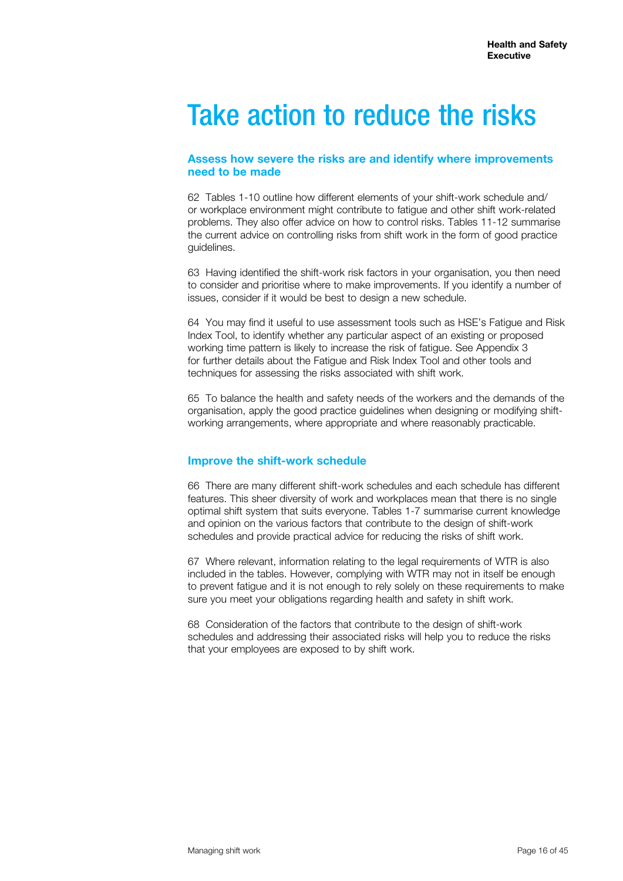# Take action to reduce the risks

#### **Assess how severe the risks are and identify where improvements need to be made**

62 Tables 1-10 outline how different elements of your shift-work schedule and/ or workplace environment might contribute to fatigue and other shift work-related problems. They also offer advice on how to control risks. Tables 11-12 summarise the current advice on controlling risks from shift work in the form of good practice guidelines.

63 Having identified the shift-work risk factors in your organisation, you then need to consider and prioritise where to make improvements. If you identify a number of issues, consider if it would be best to design a new schedule.

64 You may find it useful to use assessment tools such as HSE's Fatigue and Risk Index Tool, to identify whether any particular aspect of an existing or proposed working time pattern is likely to increase the risk of fatigue. See Appendix 3 for further details about the Fatigue and Risk Index Tool and other tools and techniques for assessing the risks associated with shift work.

65 To balance the health and safety needs of the workers and the demands of the organisation, apply the good practice guidelines when designing or modifying shiftworking arrangements, where appropriate and where reasonably practicable.

#### **Improve the shift-work schedule**

66 There are many different shift-work schedules and each schedule has different features. This sheer diversity of work and workplaces mean that there is no single optimal shift system that suits everyone. Tables 1-7 summarise current knowledge and opinion on the various factors that contribute to the design of shift-work schedules and provide practical advice for reducing the risks of shift work.

67 Where relevant, information relating to the legal requirements of WTR is also included in the tables. However, complying with WTR may not in itself be enough to prevent fatigue and it is not enough to rely solely on these requirements to make sure you meet your obligations regarding health and safety in shift work.

68 Consideration of the factors that contribute to the design of shift-work schedules and addressing their associated risks will help you to reduce the risks that your employees are exposed to by shift work.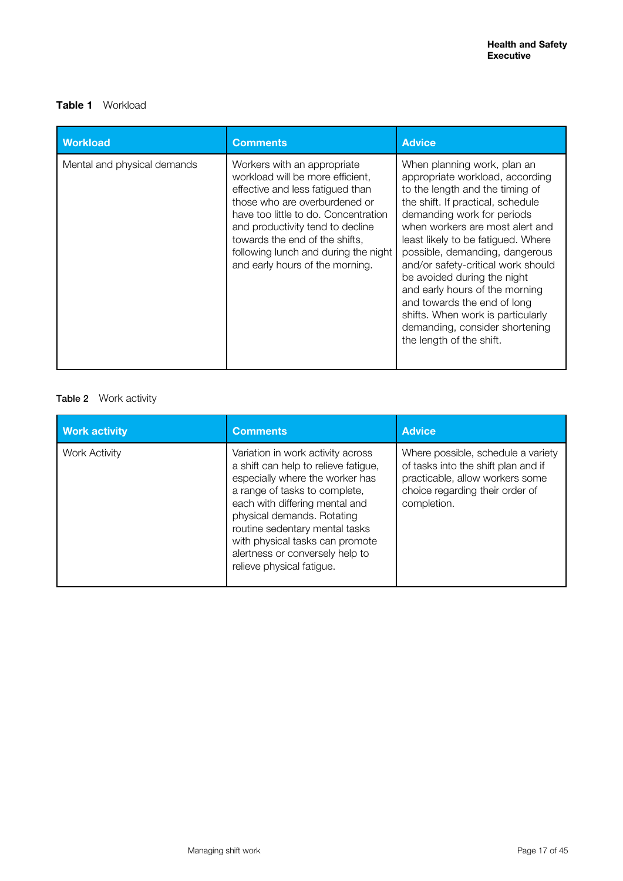# **Table 1** Workload

| <b>Workload</b>             | <b>Comments</b>                                                                                                                                                                                                                                                                                                               | <b>Advice</b>                                                                                                                                                                                                                                                                                                                                                                                                                                                                                                            |
|-----------------------------|-------------------------------------------------------------------------------------------------------------------------------------------------------------------------------------------------------------------------------------------------------------------------------------------------------------------------------|--------------------------------------------------------------------------------------------------------------------------------------------------------------------------------------------------------------------------------------------------------------------------------------------------------------------------------------------------------------------------------------------------------------------------------------------------------------------------------------------------------------------------|
| Mental and physical demands | Workers with an appropriate<br>workload will be more efficient,<br>effective and less fatigued than<br>those who are overburdened or<br>have too little to do. Concentration<br>and productivity tend to decline<br>towards the end of the shifts.<br>following lunch and during the night<br>and early hours of the morning. | When planning work, plan an<br>appropriate workload, according<br>to the length and the timing of<br>the shift. If practical, schedule<br>demanding work for periods<br>when workers are most alert and<br>least likely to be fatigued. Where<br>possible, demanding, dangerous<br>and/or safety-critical work should<br>be avoided during the night<br>and early hours of the morning<br>and towards the end of long<br>shifts. When work is particularly<br>demanding, consider shortening<br>the length of the shift. |

# Table 2 Work activity

| <b>Work activity</b> | <b>Comments</b>                                                                                                                                                                                                                                                                                                                                    | <b>Advice</b>                                                                                                                                                  |
|----------------------|----------------------------------------------------------------------------------------------------------------------------------------------------------------------------------------------------------------------------------------------------------------------------------------------------------------------------------------------------|----------------------------------------------------------------------------------------------------------------------------------------------------------------|
| Work Activity        | Variation in work activity across<br>a shift can help to relieve fatigue,<br>especially where the worker has<br>a range of tasks to complete,<br>each with differing mental and<br>physical demands. Rotating<br>routine sedentary mental tasks<br>with physical tasks can promote<br>alertness or conversely help to<br>relieve physical fatigue. | Where possible, schedule a variety<br>of tasks into the shift plan and if<br>practicable, allow workers some<br>choice regarding their order of<br>completion. |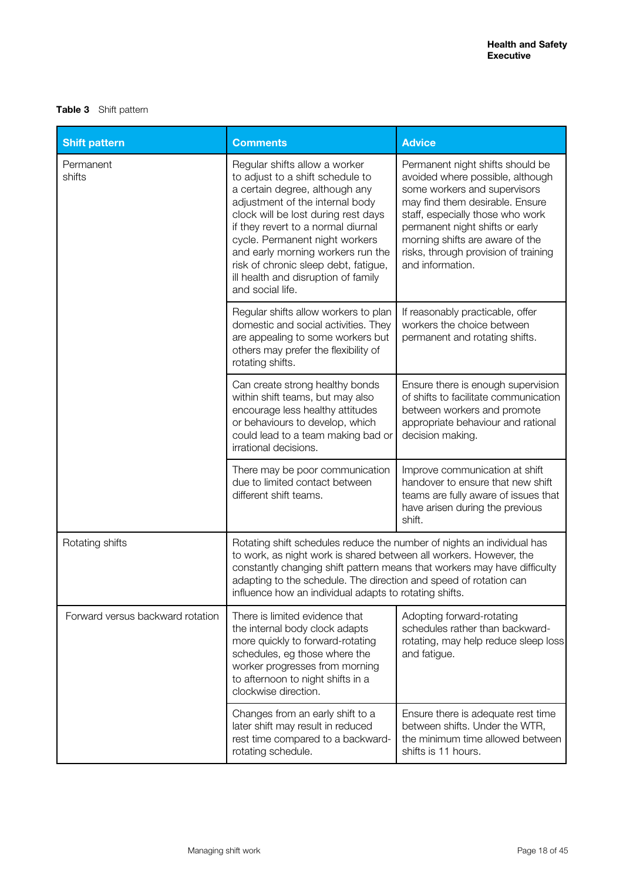### **Table 3** Shift pattern

| <b>Shift pattern</b>             | <b>Comments</b>                                                                                                                                                                                                                                                                                                                                                                               | <b>Advice</b>                                                                                                                                                                                                                                                                                                 |
|----------------------------------|-----------------------------------------------------------------------------------------------------------------------------------------------------------------------------------------------------------------------------------------------------------------------------------------------------------------------------------------------------------------------------------------------|---------------------------------------------------------------------------------------------------------------------------------------------------------------------------------------------------------------------------------------------------------------------------------------------------------------|
| Permanent<br>shifts              | Regular shifts allow a worker<br>to adjust to a shift schedule to<br>a certain degree, although any<br>adjustment of the internal body<br>clock will be lost during rest days<br>if they revert to a normal diurnal<br>cycle. Permanent night workers<br>and early morning workers run the<br>risk of chronic sleep debt, fatigue,<br>ill health and disruption of family<br>and social life. | Permanent night shifts should be<br>avoided where possible, although<br>some workers and supervisors<br>may find them desirable. Ensure<br>staff, especially those who work<br>permanent night shifts or early<br>morning shifts are aware of the<br>risks, through provision of training<br>and information. |
|                                  | Regular shifts allow workers to plan<br>domestic and social activities. They<br>are appealing to some workers but<br>others may prefer the flexibility of<br>rotating shifts.                                                                                                                                                                                                                 | If reasonably practicable, offer<br>workers the choice between<br>permanent and rotating shifts.                                                                                                                                                                                                              |
|                                  | Can create strong healthy bonds<br>within shift teams, but may also<br>encourage less healthy attitudes<br>or behaviours to develop, which<br>could lead to a team making bad or<br>irrational decisions.                                                                                                                                                                                     | Ensure there is enough supervision<br>of shifts to facilitate communication<br>between workers and promote<br>appropriate behaviour and rational<br>decision making.                                                                                                                                          |
|                                  | There may be poor communication<br>due to limited contact between<br>different shift teams.                                                                                                                                                                                                                                                                                                   | Improve communication at shift<br>handover to ensure that new shift<br>teams are fully aware of issues that<br>have arisen during the previous<br>shift.                                                                                                                                                      |
| Rotating shifts                  | Rotating shift schedules reduce the number of nights an individual has<br>to work, as night work is shared between all workers. However, the<br>constantly changing shift pattern means that workers may have difficulty<br>adapting to the schedule. The direction and speed of rotation can<br>influence how an individual adapts to rotating shifts.                                       |                                                                                                                                                                                                                                                                                                               |
| Forward versus backward rotation | There is limited evidence that<br>the internal body clock adapts<br>more quickly to forward-rotating<br>schedules, eg those where the<br>worker progresses from morning<br>to afternoon to night shifts in a<br>clockwise direction.                                                                                                                                                          | Adopting forward-rotating<br>schedules rather than backward-<br>rotating, may help reduce sleep loss<br>and fatigue.                                                                                                                                                                                          |
|                                  | Changes from an early shift to a<br>later shift may result in reduced<br>rest time compared to a backward-<br>rotating schedule.                                                                                                                                                                                                                                                              | Ensure there is adequate rest time<br>between shifts. Under the WTR,<br>the minimum time allowed between<br>shifts is 11 hours.                                                                                                                                                                               |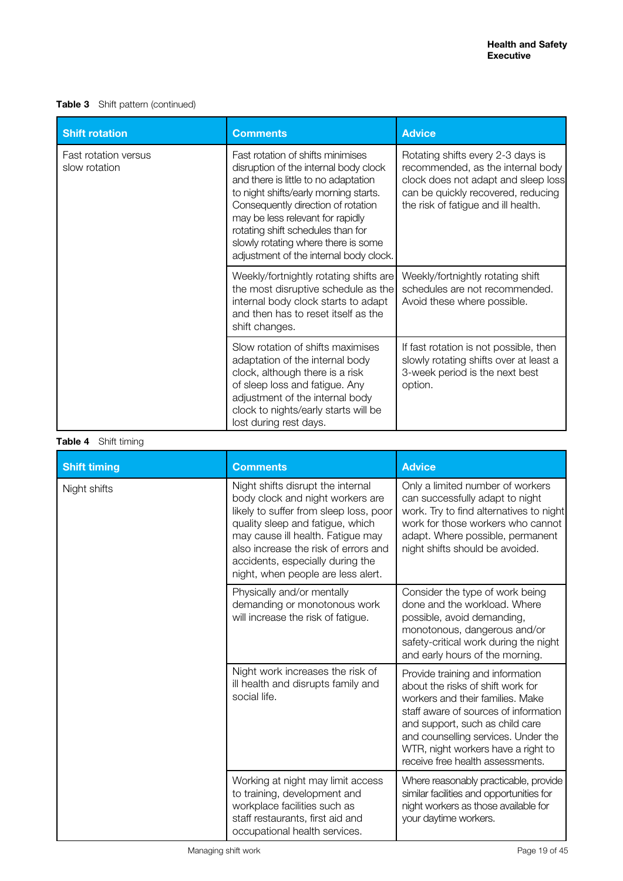### **Table 3** Shift pattern (continued)

| <b>Shift rotation</b>                 | <b>Comments</b>                                                                                                                                                                                                                                                                                                                                             | <b>Advice</b>                                                                                                                                                                              |
|---------------------------------------|-------------------------------------------------------------------------------------------------------------------------------------------------------------------------------------------------------------------------------------------------------------------------------------------------------------------------------------------------------------|--------------------------------------------------------------------------------------------------------------------------------------------------------------------------------------------|
| Fast rotation versus<br>slow rotation | Fast rotation of shifts minimises<br>disruption of the internal body clock<br>and there is little to no adaptation<br>to night shifts/early morning starts.<br>Consequently direction of rotation<br>may be less relevant for rapidly<br>rotating shift schedules than for<br>slowly rotating where there is some<br>adjustment of the internal body clock. | Rotating shifts every 2-3 days is<br>recommended, as the internal body<br>clock does not adapt and sleep loss<br>can be quickly recovered, reducing<br>the risk of fatigue and ill health. |
|                                       | Weekly/fortnightly rotating shifts are<br>the most disruptive schedule as the<br>internal body clock starts to adapt<br>and then has to reset itself as the<br>shift changes.                                                                                                                                                                               | Weekly/fortnightly rotating shift<br>schedules are not recommended.<br>Avoid these where possible.                                                                                         |
|                                       | Slow rotation of shifts maximises<br>adaptation of the internal body<br>clock, although there is a risk<br>of sleep loss and fatigue. Any<br>adjustment of the internal body<br>clock to nights/early starts will be<br>lost during rest days.                                                                                                              | If fast rotation is not possible, then<br>slowly rotating shifts over at least a<br>3-week period is the next best<br>option.                                                              |

### **Table 4** Shift timing

| <b>Shift timing</b> | <b>Comments</b>                                                                                                                                                                                                                                                                                            | <b>Advice</b>                                                                                                                                                                                                                                                                                          |
|---------------------|------------------------------------------------------------------------------------------------------------------------------------------------------------------------------------------------------------------------------------------------------------------------------------------------------------|--------------------------------------------------------------------------------------------------------------------------------------------------------------------------------------------------------------------------------------------------------------------------------------------------------|
| Night shifts        | Night shifts disrupt the internal<br>body clock and night workers are<br>likely to suffer from sleep loss, poor<br>quality sleep and fatigue, which<br>may cause ill health. Fatigue may<br>also increase the risk of errors and<br>accidents, especially during the<br>night, when people are less alert. | Only a limited number of workers<br>can successfully adapt to night<br>work. Try to find alternatives to night<br>work for those workers who cannot<br>adapt. Where possible, permanent<br>night shifts should be avoided.                                                                             |
|                     | Physically and/or mentally<br>demanding or monotonous work<br>will increase the risk of fatigue.                                                                                                                                                                                                           | Consider the type of work being<br>done and the workload. Where<br>possible, avoid demanding,<br>monotonous, dangerous and/or<br>safety-critical work during the night<br>and early hours of the morning.                                                                                              |
|                     | Night work increases the risk of<br>ill health and disrupts family and<br>social life.                                                                                                                                                                                                                     | Provide training and information<br>about the risks of shift work for<br>workers and their families. Make<br>staff aware of sources of information<br>and support, such as child care<br>and counselling services. Under the<br>WTR, night workers have a right to<br>receive free health assessments. |
|                     | Working at night may limit access<br>to training, development and<br>workplace facilities such as<br>staff restaurants, first aid and<br>occupational health services.                                                                                                                                     | Where reasonably practicable, provide<br>similar facilities and opportunities for<br>night workers as those available for<br>your daytime workers.                                                                                                                                                     |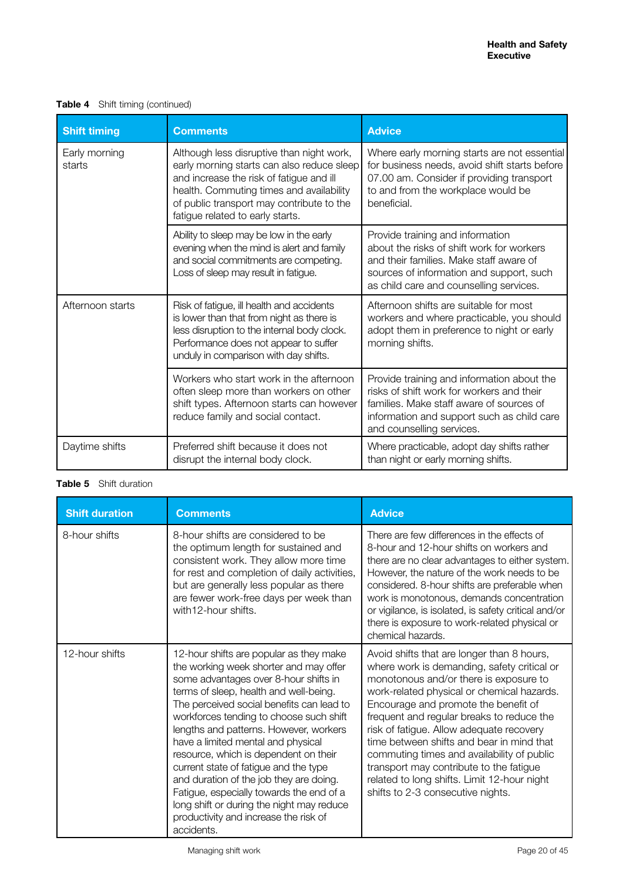|  | <b>Table 4</b> Shift timing (continued) |
|--|-----------------------------------------|
|  |                                         |

| <b>Shift timing</b>     | <b>Comments</b>                                                                                                                                                                                                                                                  | <b>Advice</b>                                                                                                                                                                                                   |
|-------------------------|------------------------------------------------------------------------------------------------------------------------------------------------------------------------------------------------------------------------------------------------------------------|-----------------------------------------------------------------------------------------------------------------------------------------------------------------------------------------------------------------|
| Early morning<br>starts | Although less disruptive than night work,<br>early morning starts can also reduce sleep<br>and increase the risk of fatigue and ill<br>health. Commuting times and availability<br>of public transport may contribute to the<br>fatigue related to early starts. | Where early morning starts are not essential<br>for business needs, avoid shift starts before<br>07.00 am. Consider if providing transport<br>to and from the workplace would be<br>beneficial.                 |
|                         | Ability to sleep may be low in the early<br>evening when the mind is alert and family<br>and social commitments are competing.<br>Loss of sleep may result in fatigue.                                                                                           | Provide training and information<br>about the risks of shift work for workers<br>and their families. Make staff aware of<br>sources of information and support, such<br>as child care and counselling services. |
| Afternoon starts        | Risk of fatigue, ill health and accidents<br>is lower than that from night as there is<br>less disruption to the internal body clock.<br>Performance does not appear to suffer<br>unduly in comparison with day shifts.                                          | Afternoon shifts are suitable for most<br>workers and where practicable, you should<br>adopt them in preference to night or early<br>morning shifts.                                                            |
|                         | Workers who start work in the afternoon<br>often sleep more than workers on other<br>shift types. Afternoon starts can however<br>reduce family and social contact.                                                                                              | Provide training and information about the<br>risks of shift work for workers and their<br>families. Make staff aware of sources of<br>information and support such as child care<br>and counselling services.  |
| Daytime shifts          | Preferred shift because it does not<br>disrupt the internal body clock.                                                                                                                                                                                          | Where practicable, adopt day shifts rather<br>than night or early morning shifts.                                                                                                                               |

### **Table 5** Shift duration

| <b>Shift duration</b> | <b>Comments</b>                                                                                                                                                                                                                                                                                                                                                                                                                                                                                                                                                                                                           | <b>Advice</b>                                                                                                                                                                                                                                                                                                                                                                                                                                                                                                                                |
|-----------------------|---------------------------------------------------------------------------------------------------------------------------------------------------------------------------------------------------------------------------------------------------------------------------------------------------------------------------------------------------------------------------------------------------------------------------------------------------------------------------------------------------------------------------------------------------------------------------------------------------------------------------|----------------------------------------------------------------------------------------------------------------------------------------------------------------------------------------------------------------------------------------------------------------------------------------------------------------------------------------------------------------------------------------------------------------------------------------------------------------------------------------------------------------------------------------------|
| 8-hour shifts         | 8-hour shifts are considered to be<br>the optimum length for sustained and<br>consistent work. They allow more time<br>for rest and completion of daily activities,<br>but are generally less popular as there<br>are fewer work-free days per week than<br>with12-hour shifts.                                                                                                                                                                                                                                                                                                                                           | There are few differences in the effects of<br>8-hour and 12-hour shifts on workers and<br>there are no clear advantages to either system.<br>However, the nature of the work needs to be<br>considered. 8-hour shifts are preferable when<br>work is monotonous, demands concentration<br>or vigilance, is isolated, is safety critical and/or<br>there is exposure to work-related physical or<br>chemical hazards.                                                                                                                        |
| 12-hour shifts        | 12-hour shifts are popular as they make<br>the working week shorter and may offer<br>some advantages over 8-hour shifts in<br>terms of sleep, health and well-being.<br>The perceived social benefits can lead to<br>workforces tending to choose such shift<br>lengths and patterns. However, workers<br>have a limited mental and physical<br>resource, which is dependent on their<br>current state of fatigue and the type<br>and duration of the job they are doing.<br>Fatigue, especially towards the end of a<br>long shift or during the night may reduce<br>productivity and increase the risk of<br>accidents. | Avoid shifts that are longer than 8 hours,<br>where work is demanding, safety critical or<br>monotonous and/or there is exposure to<br>work-related physical or chemical hazards.<br>Encourage and promote the benefit of<br>frequent and regular breaks to reduce the<br>risk of fatigue. Allow adequate recovery<br>time between shifts and bear in mind that<br>commuting times and availability of public<br>transport may contribute to the fatigue<br>related to long shifts. Limit 12-hour night<br>shifts to 2-3 consecutive nights. |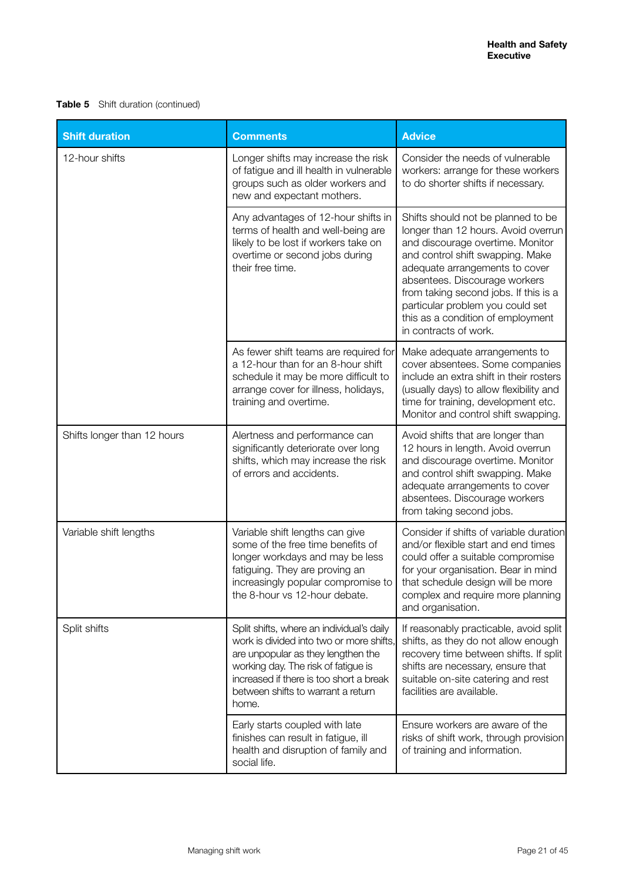### **Table 5** Shift duration (continued)

| <b>Shift duration</b>       | <b>Comments</b>                                                                                                                                                                                                                                              | <b>Advice</b>                                                                                                                                                                                                                                                                                                                                                   |
|-----------------------------|--------------------------------------------------------------------------------------------------------------------------------------------------------------------------------------------------------------------------------------------------------------|-----------------------------------------------------------------------------------------------------------------------------------------------------------------------------------------------------------------------------------------------------------------------------------------------------------------------------------------------------------------|
| 12-hour shifts              | Longer shifts may increase the risk<br>of fatigue and ill health in vulnerable<br>groups such as older workers and<br>new and expectant mothers.                                                                                                             | Consider the needs of vulnerable<br>workers: arrange for these workers<br>to do shorter shifts if necessary.                                                                                                                                                                                                                                                    |
|                             | Any advantages of 12-hour shifts in<br>terms of health and well-being are<br>likely to be lost if workers take on<br>overtime or second jobs during<br>their free time.                                                                                      | Shifts should not be planned to be<br>longer than 12 hours. Avoid overrun<br>and discourage overtime. Monitor<br>and control shift swapping. Make<br>adequate arrangements to cover<br>absentees. Discourage workers<br>from taking second jobs. If this is a<br>particular problem you could set<br>this as a condition of employment<br>in contracts of work. |
|                             | As fewer shift teams are required for<br>a 12-hour than for an 8-hour shift<br>schedule it may be more difficult to<br>arrange cover for illness, holidays,<br>training and overtime.                                                                        | Make adequate arrangements to<br>cover absentees. Some companies<br>include an extra shift in their rosters<br>(usually days) to allow flexibility and<br>time for training, development etc.<br>Monitor and control shift swapping.                                                                                                                            |
| Shifts longer than 12 hours | Alertness and performance can<br>significantly deteriorate over long<br>shifts, which may increase the risk<br>of errors and accidents.                                                                                                                      | Avoid shifts that are longer than<br>12 hours in length. Avoid overrun<br>and discourage overtime. Monitor<br>and control shift swapping. Make<br>adequate arrangements to cover<br>absentees. Discourage workers<br>from taking second jobs.                                                                                                                   |
| Variable shift lengths      | Variable shift lengths can give<br>some of the free time benefits of<br>longer workdays and may be less<br>fatiguing. They are proving an<br>increasingly popular compromise to<br>the 8-hour vs 12-hour debate.                                             | Consider if shifts of variable duration<br>and/or flexible start and end times<br>could offer a suitable compromise<br>for your organisation. Bear in mind<br>that schedule design will be more<br>complex and require more planning<br>and organisation.                                                                                                       |
| Split shifts                | Split shifts, where an individual's daily<br>work is divided into two or more shifts,<br>are unpopular as they lengthen the<br>working day. The risk of fatigue is<br>increased if there is too short a break<br>between shifts to warrant a return<br>home. | If reasonably practicable, avoid split<br>shifts, as they do not allow enough<br>recovery time between shifts. If split<br>shifts are necessary, ensure that<br>suitable on-site catering and rest<br>facilities are available.                                                                                                                                 |
|                             | Early starts coupled with late<br>finishes can result in fatigue, ill<br>health and disruption of family and<br>social life.                                                                                                                                 | Ensure workers are aware of the<br>risks of shift work, through provision<br>of training and information.                                                                                                                                                                                                                                                       |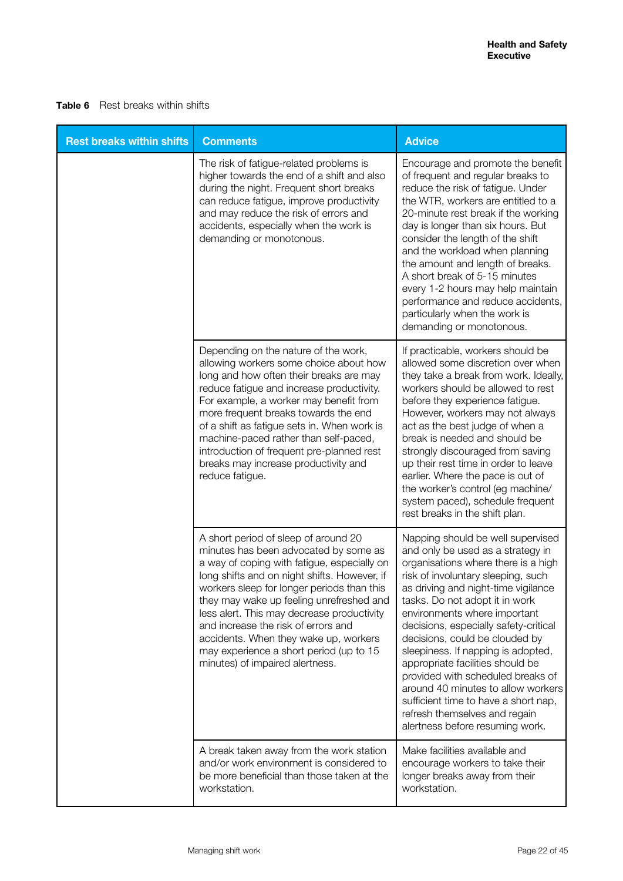#### **Table 6** Rest breaks within shifts

| <b>Rest breaks within shifts</b> | <b>Comments</b>                                                                                                                                                                                                                                                                                                                                                                                                                                                                    | <b>Advice</b>                                                                                                                                                                                                                                                                                                                                                                                                                                                                                                                                                                                            |
|----------------------------------|------------------------------------------------------------------------------------------------------------------------------------------------------------------------------------------------------------------------------------------------------------------------------------------------------------------------------------------------------------------------------------------------------------------------------------------------------------------------------------|----------------------------------------------------------------------------------------------------------------------------------------------------------------------------------------------------------------------------------------------------------------------------------------------------------------------------------------------------------------------------------------------------------------------------------------------------------------------------------------------------------------------------------------------------------------------------------------------------------|
|                                  | The risk of fatigue-related problems is<br>higher towards the end of a shift and also<br>during the night. Frequent short breaks<br>can reduce fatigue, improve productivity<br>and may reduce the risk of errors and<br>accidents, especially when the work is<br>demanding or monotonous.                                                                                                                                                                                        | Encourage and promote the benefit<br>of frequent and regular breaks to<br>reduce the risk of fatigue. Under<br>the WTR, workers are entitled to a<br>20-minute rest break if the working<br>day is longer than six hours. But<br>consider the length of the shift<br>and the workload when planning<br>the amount and length of breaks.<br>A short break of 5-15 minutes<br>every 1-2 hours may help maintain<br>performance and reduce accidents,<br>particularly when the work is<br>demanding or monotonous.                                                                                          |
|                                  | Depending on the nature of the work,<br>allowing workers some choice about how<br>long and how often their breaks are may<br>reduce fatigue and increase productivity.<br>For example, a worker may benefit from<br>more frequent breaks towards the end<br>of a shift as fatigue sets in. When work is<br>machine-paced rather than self-paced,<br>introduction of frequent pre-planned rest<br>breaks may increase productivity and<br>reduce fatigue.                           | If practicable, workers should be<br>allowed some discretion over when<br>they take a break from work. Ideally,<br>workers should be allowed to rest<br>before they experience fatigue.<br>However, workers may not always<br>act as the best judge of when a<br>break is needed and should be<br>strongly discouraged from saving<br>up their rest time in order to leave<br>earlier. Where the pace is out of<br>the worker's control (eg machine/<br>system paced), schedule frequent<br>rest breaks in the shift plan.                                                                               |
|                                  | A short period of sleep of around 20<br>minutes has been advocated by some as<br>a way of coping with fatigue, especially on<br>long shifts and on night shifts. However, if<br>workers sleep for longer periods than this<br>they may wake up feeling unrefreshed and<br>less alert. This may decrease productivity<br>and increase the risk of errors and<br>accidents. When they wake up, workers<br>may experience a short period (up to 15<br>minutes) of impaired alertness. | Napping should be well supervised<br>and only be used as a strategy in<br>organisations where there is a high<br>risk of involuntary sleeping, such<br>as driving and night-time vigilance<br>tasks. Do not adopt it in work<br>environments where important<br>decisions, especially safety-critical<br>decisions, could be clouded by<br>sleepiness. If napping is adopted,<br>appropriate facilities should be<br>provided with scheduled breaks of<br>around 40 minutes to allow workers<br>sufficient time to have a short nap,<br>refresh themselves and regain<br>alertness before resuming work. |
|                                  | A break taken away from the work station<br>and/or work environment is considered to<br>be more beneficial than those taken at the<br>workstation.                                                                                                                                                                                                                                                                                                                                 | Make facilities available and<br>encourage workers to take their<br>longer breaks away from their<br>workstation.                                                                                                                                                                                                                                                                                                                                                                                                                                                                                        |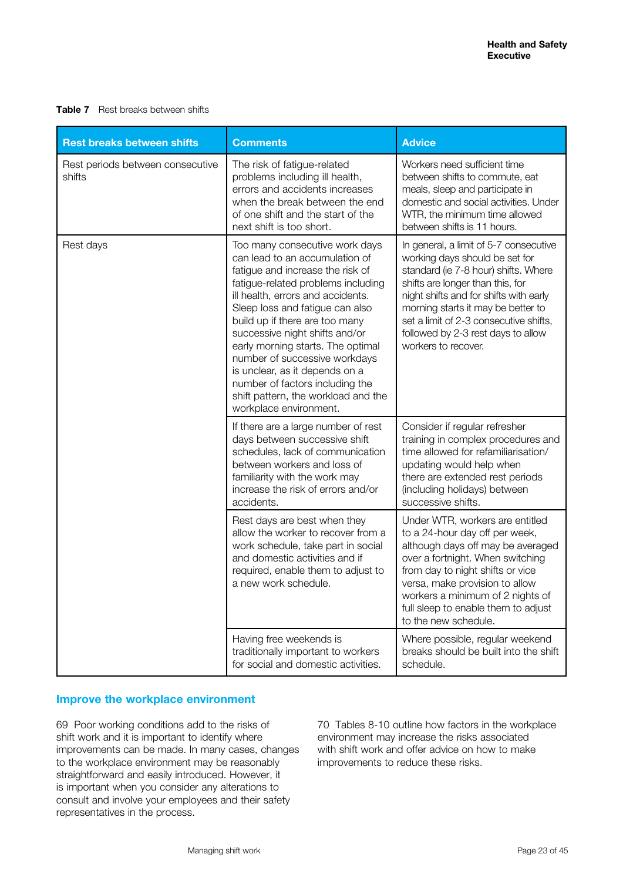**Table 7** Rest breaks between shifts

| <b>Rest breaks between shifts</b>          | <b>Comments</b>                                                                                                                                                                                                                                                                                                                                                                                                                                                                                    | <b>Advice</b>                                                                                                                                                                                                                                                                                                                               |
|--------------------------------------------|----------------------------------------------------------------------------------------------------------------------------------------------------------------------------------------------------------------------------------------------------------------------------------------------------------------------------------------------------------------------------------------------------------------------------------------------------------------------------------------------------|---------------------------------------------------------------------------------------------------------------------------------------------------------------------------------------------------------------------------------------------------------------------------------------------------------------------------------------------|
| Rest periods between consecutive<br>shifts | The risk of fatigue-related<br>problems including ill health,<br>errors and accidents increases<br>when the break between the end<br>of one shift and the start of the<br>next shift is too short.                                                                                                                                                                                                                                                                                                 | Workers need sufficient time<br>between shifts to commute, eat<br>meals, sleep and participate in<br>domestic and social activities. Under<br>WTR, the minimum time allowed<br>between shifts is 11 hours.                                                                                                                                  |
| Rest days                                  | Too many consecutive work days<br>can lead to an accumulation of<br>fatigue and increase the risk of<br>fatigue-related problems including<br>ill health, errors and accidents.<br>Sleep loss and fatigue can also<br>build up if there are too many<br>successive night shifts and/or<br>early morning starts. The optimal<br>number of successive workdays<br>is unclear, as it depends on a<br>number of factors including the<br>shift pattern, the workload and the<br>workplace environment. | In general, a limit of 5-7 consecutive<br>working days should be set for<br>standard (ie 7-8 hour) shifts. Where<br>shifts are longer than this, for<br>night shifts and for shifts with early<br>morning starts it may be better to<br>set a limit of 2-3 consecutive shifts,<br>followed by 2-3 rest days to allow<br>workers to recover. |
|                                            | If there are a large number of rest<br>days between successive shift<br>schedules, lack of communication<br>between workers and loss of<br>familiarity with the work may<br>increase the risk of errors and/or<br>accidents.                                                                                                                                                                                                                                                                       | Consider if regular refresher<br>training in complex procedures and<br>time allowed for refamiliarisation/<br>updating would help when<br>there are extended rest periods<br>(including holidays) between<br>successive shifts.                                                                                                             |
|                                            | Rest days are best when they<br>allow the worker to recover from a<br>work schedule, take part in social<br>and domestic activities and if<br>required, enable them to adjust to<br>a new work schedule.                                                                                                                                                                                                                                                                                           | Under WTR, workers are entitled<br>to a 24-hour day off per week,<br>although days off may be averaged<br>over a fortnight. When switching<br>from day to night shifts or vice<br>versa, make provision to allow<br>workers a minimum of 2 nights of<br>full sleep to enable them to adjust<br>to the new schedule.                         |
|                                            | Having free weekends is<br>traditionally important to workers<br>for social and domestic activities.                                                                                                                                                                                                                                                                                                                                                                                               | Where possible, regular weekend<br>breaks should be built into the shift<br>schedule.                                                                                                                                                                                                                                                       |

#### **Improve the workplace environment**

69 Poor working conditions add to the risks of shift work and it is important to identify where improvements can be made. In many cases, changes to the workplace environment may be reasonably straightforward and easily introduced. However, it is important when you consider any alterations to consult and involve your employees and their safety representatives in the process.

70 Tables 8-10 outline how factors in the workplace environment may increase the risks associated with shift work and offer advice on how to make improvements to reduce these risks.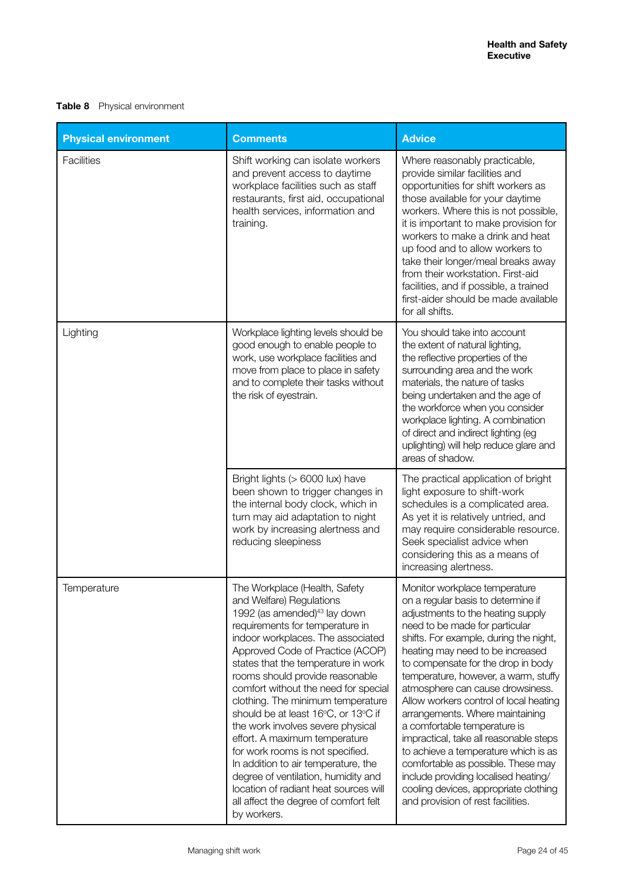### **Table 8** Physical environment

| <b>Physical environment</b> | <b>Comments</b>                                                                                                                                                                                                                                                                                                                                                                                                                                                                                                                                                                                                                                                                                          | <b>Advice</b>                                                                                                                                                                                                                                                                                                                                                                                                                                                                                                                                                                                                                                                                                         |
|-----------------------------|----------------------------------------------------------------------------------------------------------------------------------------------------------------------------------------------------------------------------------------------------------------------------------------------------------------------------------------------------------------------------------------------------------------------------------------------------------------------------------------------------------------------------------------------------------------------------------------------------------------------------------------------------------------------------------------------------------|-------------------------------------------------------------------------------------------------------------------------------------------------------------------------------------------------------------------------------------------------------------------------------------------------------------------------------------------------------------------------------------------------------------------------------------------------------------------------------------------------------------------------------------------------------------------------------------------------------------------------------------------------------------------------------------------------------|
| <b>Facilities</b>           | Shift working can isolate workers<br>and prevent access to daytime<br>workplace facilities such as staff<br>restaurants, first aid, occupational<br>health services, information and<br>training.                                                                                                                                                                                                                                                                                                                                                                                                                                                                                                        | Where reasonably practicable,<br>provide similar facilities and<br>opportunities for shift workers as<br>those available for your daytime<br>workers. Where this is not possible,<br>it is important to make provision for<br>workers to make a drink and heat<br>up food and to allow workers to<br>take their longer/meal breaks away<br>from their workstation. First-aid<br>facilities, and if possible, a trained<br>first-aider should be made available<br>for all shifts.                                                                                                                                                                                                                     |
| Lighting                    | Workplace lighting levels should be<br>good enough to enable people to<br>work, use workplace facilities and<br>move from place to place in safety<br>and to complete their tasks without<br>the risk of eyestrain.                                                                                                                                                                                                                                                                                                                                                                                                                                                                                      | You should take into account<br>the extent of natural lighting,<br>the reflective properties of the<br>surrounding area and the work<br>materials, the nature of tasks<br>being undertaken and the age of<br>the workforce when you consider<br>workplace lighting. A combination<br>of direct and indirect lighting (eg<br>uplighting) will help reduce glare and<br>areas of shadow.                                                                                                                                                                                                                                                                                                                |
|                             | Bright lights (> 6000 lux) have<br>been shown to trigger changes in<br>the internal body clock, which in<br>turn may aid adaptation to night<br>work by increasing alertness and<br>reducing sleepiness                                                                                                                                                                                                                                                                                                                                                                                                                                                                                                  | The practical application of bright<br>light exposure to shift-work<br>schedules is a complicated area.<br>As yet it is relatively untried, and<br>may require considerable resource.<br>Seek specialist advice when<br>considering this as a means of<br>increasing alertness.                                                                                                                                                                                                                                                                                                                                                                                                                       |
| Temperature                 | The Workplace (Health, Safety<br>and Welfare) Regulations<br>1992 (as amended) <sup>43</sup> lay down<br>requirements for temperature in<br>indoor workplaces. The associated<br>Approved Code of Practice (ACOP)<br>states that the temperature in work<br>rooms should provide reasonable<br>comfort without the need for special<br>clothing. The minimum temperature<br>should be at least 16°C, or 13°C if<br>the work involves severe physical<br>effort. A maximum temperature<br>for work rooms is not specified.<br>In addition to air temperature, the<br>degree of ventilation, humidity and<br>location of radiant heat sources will<br>all affect the degree of comfort felt<br>by workers. | Monitor workplace temperature<br>on a regular basis to determine if<br>adjustments to the heating supply<br>need to be made for particular<br>shifts. For example, during the night,<br>heating may need to be increased<br>to compensate for the drop in body<br>temperature, however, a warm, stuffy<br>atmosphere can cause drowsiness.<br>Allow workers control of local heating<br>arrangements. Where maintaining<br>a comfortable temperature is<br>impractical, take all reasonable steps<br>to achieve a temperature which is as<br>comfortable as possible. These may<br>include providing localised heating/<br>cooling devices, appropriate clothing<br>and provision of rest facilities. |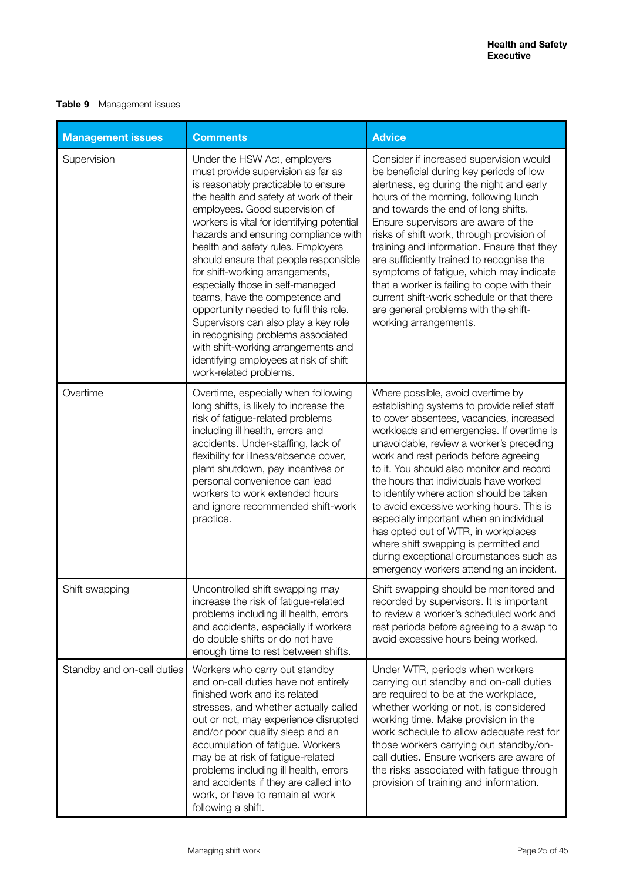### **Table 9** Management issues

| <b>Management issues</b>   | <b>Comments</b>                                                                                                                                                                                                                                                                                                                                                                                                                                                                                                                                                                                                                                                                                         | <b>Advice</b>                                                                                                                                                                                                                                                                                                                                                                                                                                                                                                                                                                                                                                                      |
|----------------------------|---------------------------------------------------------------------------------------------------------------------------------------------------------------------------------------------------------------------------------------------------------------------------------------------------------------------------------------------------------------------------------------------------------------------------------------------------------------------------------------------------------------------------------------------------------------------------------------------------------------------------------------------------------------------------------------------------------|--------------------------------------------------------------------------------------------------------------------------------------------------------------------------------------------------------------------------------------------------------------------------------------------------------------------------------------------------------------------------------------------------------------------------------------------------------------------------------------------------------------------------------------------------------------------------------------------------------------------------------------------------------------------|
| Supervision                | Under the HSW Act, employers<br>must provide supervision as far as<br>is reasonably practicable to ensure<br>the health and safety at work of their<br>employees. Good supervision of<br>workers is vital for identifying potential<br>hazards and ensuring compliance with<br>health and safety rules. Employers<br>should ensure that people responsible<br>for shift-working arrangements,<br>especially those in self-managed<br>teams, have the competence and<br>opportunity needed to fulfil this role.<br>Supervisors can also play a key role<br>in recognising problems associated<br>with shift-working arrangements and<br>identifying employees at risk of shift<br>work-related problems. | Consider if increased supervision would<br>be beneficial during key periods of low<br>alertness, eg during the night and early<br>hours of the morning, following lunch<br>and towards the end of long shifts.<br>Ensure supervisors are aware of the<br>risks of shift work, through provision of<br>training and information. Ensure that they<br>are sufficiently trained to recognise the<br>symptoms of fatigue, which may indicate<br>that a worker is failing to cope with their<br>current shift-work schedule or that there<br>are general problems with the shift-<br>working arrangements.                                                              |
| Overtime                   | Overtime, especially when following<br>long shifts, is likely to increase the<br>risk of fatigue-related problems<br>including ill health, errors and<br>accidents. Under-staffing, lack of<br>flexibility for illness/absence cover,<br>plant shutdown, pay incentives or<br>personal convenience can lead<br>workers to work extended hours<br>and ignore recommended shift-work<br>practice.                                                                                                                                                                                                                                                                                                         | Where possible, avoid overtime by<br>establishing systems to provide relief staff<br>to cover absentees, vacancies, increased<br>workloads and emergencies. If overtime is<br>unavoidable, review a worker's preceding<br>work and rest periods before agreeing<br>to it. You should also monitor and record<br>the hours that individuals have worked<br>to identify where action should be taken<br>to avoid excessive working hours. This is<br>especially important when an individual<br>has opted out of WTR, in workplaces<br>where shift swapping is permitted and<br>during exceptional circumstances such as<br>emergency workers attending an incident. |
| Shift swapping             | Uncontrolled shift swapping may<br>increase the risk of fatigue-related<br>problems including ill health, errors<br>and accidents, especially if workers<br>do double shifts or do not have<br>enough time to rest between shifts.                                                                                                                                                                                                                                                                                                                                                                                                                                                                      | Shift swapping should be monitored and<br>recorded by supervisors. It is important<br>to review a worker's scheduled work and<br>rest periods before agreeing to a swap to<br>avoid excessive hours being worked.                                                                                                                                                                                                                                                                                                                                                                                                                                                  |
| Standby and on-call duties | Workers who carry out standby<br>and on-call duties have not entirely<br>finished work and its related<br>stresses, and whether actually called<br>out or not, may experience disrupted<br>and/or poor quality sleep and an<br>accumulation of fatigue. Workers<br>may be at risk of fatigue-related<br>problems including ill health, errors<br>and accidents if they are called into<br>work, or have to remain at work<br>following a shift.                                                                                                                                                                                                                                                         | Under WTR, periods when workers<br>carrying out standby and on-call duties<br>are required to be at the workplace,<br>whether working or not, is considered<br>working time. Make provision in the<br>work schedule to allow adequate rest for<br>those workers carrying out standby/on-<br>call duties. Ensure workers are aware of<br>the risks associated with fatigue through<br>provision of training and information.                                                                                                                                                                                                                                        |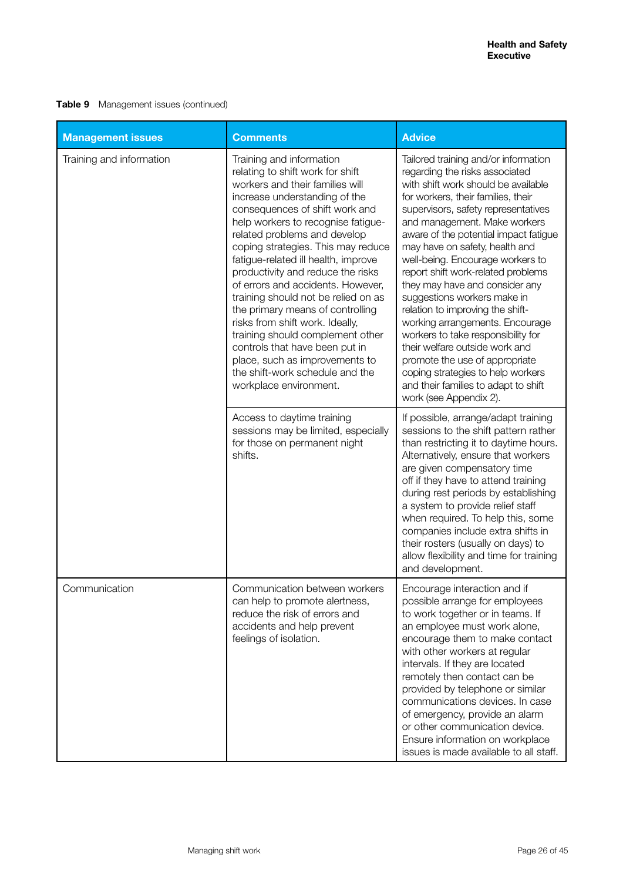**Table 9** Management issues (continued)

| <b>Management issues</b> | <b>Comments</b>                                                                                                                                                                                                                                                                                                                                                                                                                                                                                                                                                                                                                                                                    | <b>Advice</b>                                                                                                                                                                                                                                                                                                                                                                                                                                                                                                                                                                                                                                                                                                                            |
|--------------------------|------------------------------------------------------------------------------------------------------------------------------------------------------------------------------------------------------------------------------------------------------------------------------------------------------------------------------------------------------------------------------------------------------------------------------------------------------------------------------------------------------------------------------------------------------------------------------------------------------------------------------------------------------------------------------------|------------------------------------------------------------------------------------------------------------------------------------------------------------------------------------------------------------------------------------------------------------------------------------------------------------------------------------------------------------------------------------------------------------------------------------------------------------------------------------------------------------------------------------------------------------------------------------------------------------------------------------------------------------------------------------------------------------------------------------------|
| Training and information | Training and information<br>relating to shift work for shift<br>workers and their families will<br>increase understanding of the<br>consequences of shift work and<br>help workers to recognise fatigue-<br>related problems and develop<br>coping strategies. This may reduce<br>fatigue-related ill health, improve<br>productivity and reduce the risks<br>of errors and accidents. However,<br>training should not be relied on as<br>the primary means of controlling<br>risks from shift work. Ideally,<br>training should complement other<br>controls that have been put in<br>place, such as improvements to<br>the shift-work schedule and the<br>workplace environment. | Tailored training and/or information<br>regarding the risks associated<br>with shift work should be available<br>for workers, their families, their<br>supervisors, safety representatives<br>and management. Make workers<br>aware of the potential impact fatigue<br>may have on safety, health and<br>well-being. Encourage workers to<br>report shift work-related problems<br>they may have and consider any<br>suggestions workers make in<br>relation to improving the shift-<br>working arrangements. Encourage<br>workers to take responsibility for<br>their welfare outside work and<br>promote the use of appropriate<br>coping strategies to help workers<br>and their families to adapt to shift<br>work (see Appendix 2). |
|                          | Access to daytime training<br>sessions may be limited, especially<br>for those on permanent night<br>shifts.                                                                                                                                                                                                                                                                                                                                                                                                                                                                                                                                                                       | If possible, arrange/adapt training<br>sessions to the shift pattern rather<br>than restricting it to daytime hours.<br>Alternatively, ensure that workers<br>are given compensatory time<br>off if they have to attend training<br>during rest periods by establishing<br>a system to provide relief staff<br>when required. To help this, some<br>companies include extra shifts in<br>their rosters (usually on days) to<br>allow flexibility and time for training<br>and development.                                                                                                                                                                                                                                               |
| Communication            | Communication between workers<br>can help to promote alertness,<br>reduce the risk of errors and<br>accidents and help prevent<br>feelings of isolation.                                                                                                                                                                                                                                                                                                                                                                                                                                                                                                                           | Encourage interaction and if<br>possible arrange for employees<br>to work together or in teams. If<br>an employee must work alone,<br>encourage them to make contact<br>with other workers at regular<br>intervals. If they are located<br>remotely then contact can be<br>provided by telephone or similar<br>communications devices. In case<br>of emergency, provide an alarm<br>or other communication device.<br>Ensure information on workplace<br>issues is made available to all staff.                                                                                                                                                                                                                                          |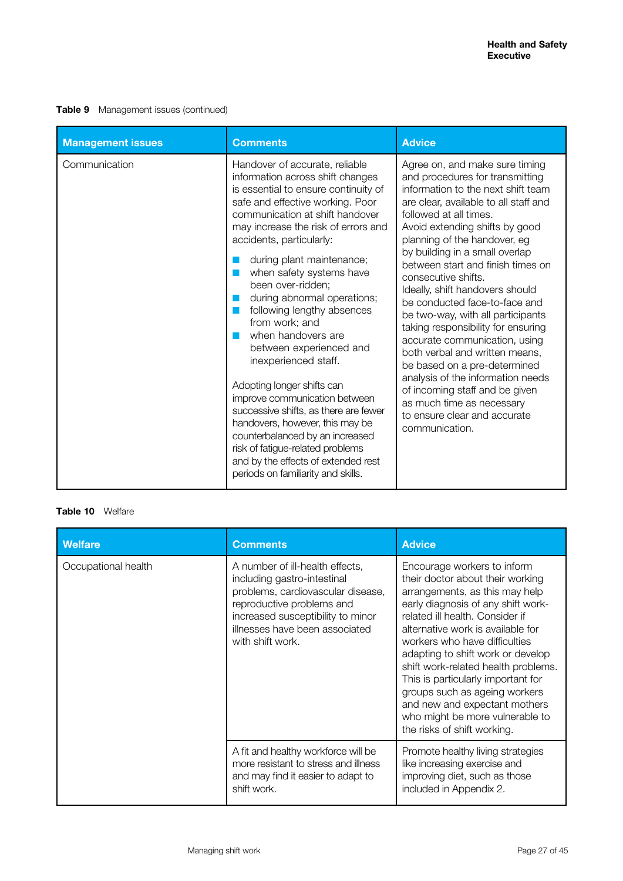#### **Table 9** Management issues (continued)

| <b>Management issues</b> | <b>Comments</b>                                                                                                                                                                                                                                                                                                                                                                                                                                                                                                                                                                                                                                                                                                                                                                                | <b>Advice</b>                                                                                                                                                                                                                                                                                                                                                                                                                                                                                                                                                                                                                                                                                                                                      |
|--------------------------|------------------------------------------------------------------------------------------------------------------------------------------------------------------------------------------------------------------------------------------------------------------------------------------------------------------------------------------------------------------------------------------------------------------------------------------------------------------------------------------------------------------------------------------------------------------------------------------------------------------------------------------------------------------------------------------------------------------------------------------------------------------------------------------------|----------------------------------------------------------------------------------------------------------------------------------------------------------------------------------------------------------------------------------------------------------------------------------------------------------------------------------------------------------------------------------------------------------------------------------------------------------------------------------------------------------------------------------------------------------------------------------------------------------------------------------------------------------------------------------------------------------------------------------------------------|
| Communication            | Handover of accurate, reliable<br>information across shift changes<br>is essential to ensure continuity of<br>safe and effective working. Poor<br>communication at shift handover<br>may increase the risk of errors and<br>accidents, particularly:<br>during plant maintenance;<br>when safety systems have<br>been over-ridden;<br>during abnormal operations;<br>ш<br>following lengthy absences<br>from work; and<br>when handovers are<br>between experienced and<br>inexperienced staff.<br>Adopting longer shifts can<br>improve communication between<br>successive shifts, as there are fewer<br>handovers, however, this may be<br>counterbalanced by an increased<br>risk of fatigue-related problems<br>and by the effects of extended rest<br>periods on familiarity and skills. | Agree on, and make sure timing<br>and procedures for transmitting<br>information to the next shift team<br>are clear, available to all staff and<br>followed at all times.<br>Avoid extending shifts by good<br>planning of the handover, eg<br>by building in a small overlap<br>between start and finish times on<br>consecutive shifts.<br>Ideally, shift handovers should<br>be conducted face-to-face and<br>be two-way, with all participants<br>taking responsibility for ensuring<br>accurate communication, using<br>both verbal and written means,<br>be based on a pre-determined<br>analysis of the information needs<br>of incoming staff and be given<br>as much time as necessary<br>to ensure clear and accurate<br>communication. |

#### **Table 10** Welfare

| <b>Welfare</b>      | <b>Comments</b>                                                                                                                                                                                                             | <b>Advice</b>                                                                                                                                                                                                                                                                                                                                                                                                                                                                                          |
|---------------------|-----------------------------------------------------------------------------------------------------------------------------------------------------------------------------------------------------------------------------|--------------------------------------------------------------------------------------------------------------------------------------------------------------------------------------------------------------------------------------------------------------------------------------------------------------------------------------------------------------------------------------------------------------------------------------------------------------------------------------------------------|
| Occupational health | A number of ill-health effects,<br>including gastro-intestinal<br>problems, cardiovascular disease,<br>reproductive problems and<br>increased susceptibility to minor<br>illnesses have been associated<br>with shift work. | Encourage workers to inform<br>their doctor about their working<br>arrangements, as this may help<br>early diagnosis of any shift work-<br>related ill health. Consider if<br>alternative work is available for<br>workers who have difficulties<br>adapting to shift work or develop<br>shift work-related health problems.<br>This is particularly important for<br>groups such as ageing workers<br>and new and expectant mothers<br>who might be more vulnerable to<br>the risks of shift working. |
|                     | A fit and healthy workforce will be<br>more resistant to stress and illness<br>and may find it easier to adapt to<br>shift work.                                                                                            | Promote healthy living strategies<br>like increasing exercise and<br>improving diet, such as those<br>included in Appendix 2.                                                                                                                                                                                                                                                                                                                                                                          |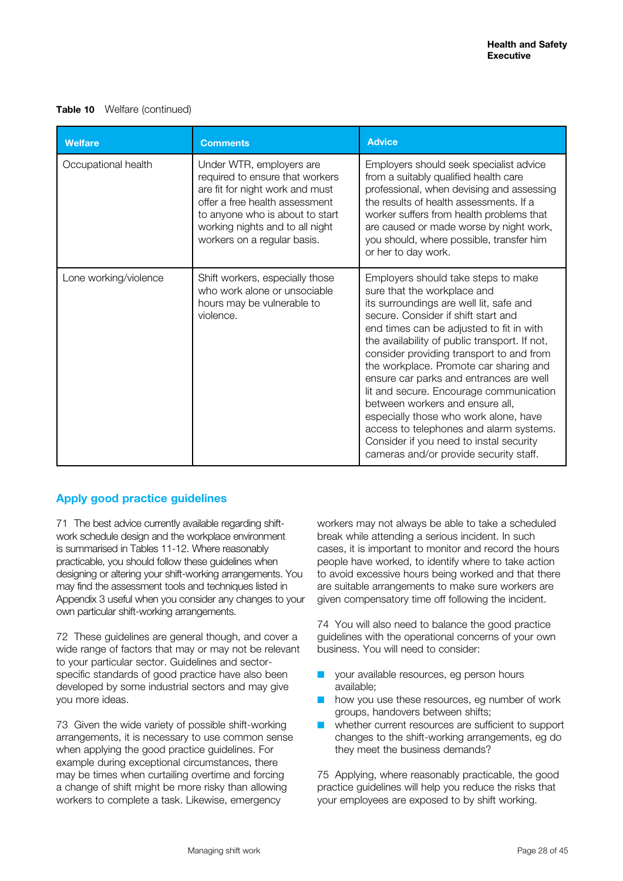#### **Table 10** Welfare (continued)

| <b>Welfare</b>        | <b>Comments</b>                                                                                                                                                                                                                       | <b>Advice</b>                                                                                                                                                                                                                                                                                                                                                                                                                                                                                                                                                                                                                             |
|-----------------------|---------------------------------------------------------------------------------------------------------------------------------------------------------------------------------------------------------------------------------------|-------------------------------------------------------------------------------------------------------------------------------------------------------------------------------------------------------------------------------------------------------------------------------------------------------------------------------------------------------------------------------------------------------------------------------------------------------------------------------------------------------------------------------------------------------------------------------------------------------------------------------------------|
| Occupational health   | Under WTR, employers are<br>required to ensure that workers<br>are fit for night work and must<br>offer a free health assessment<br>to anyone who is about to start<br>working nights and to all night<br>workers on a regular basis. | Employers should seek specialist advice<br>from a suitably qualified health care<br>professional, when devising and assessing<br>the results of health assessments. If a<br>worker suffers from health problems that<br>are caused or made worse by night work,<br>you should, where possible, transfer him<br>or her to day work.                                                                                                                                                                                                                                                                                                        |
| Lone working/violence | Shift workers, especially those<br>who work alone or unsociable<br>hours may be vulnerable to<br>violence.                                                                                                                            | Employers should take steps to make<br>sure that the workplace and<br>its surroundings are well lit, safe and<br>secure. Consider if shift start and<br>end times can be adjusted to fit in with<br>the availability of public transport. If not,<br>consider providing transport to and from<br>the workplace. Promote car sharing and<br>ensure car parks and entrances are well<br>lit and secure. Encourage communication<br>between workers and ensure all,<br>especially those who work alone, have<br>access to telephones and alarm systems.<br>Consider if you need to instal security<br>cameras and/or provide security staff. |

# **Apply good practice guidelines**

71 The best advice currently available regarding shiftwork schedule design and the workplace environment is summarised in Tables 11-12. Where reasonably practicable, you should follow these guidelines when designing or altering your shift-working arrangements. You may find the assessment tools and techniques listed in Appendix 3 useful when you consider any changes to your own particular shift-working arrangements.

72 These guidelines are general though, and cover a wide range of factors that may or may not be relevant to your particular sector. Guidelines and sectorspecific standards of good practice have also been developed by some industrial sectors and may give you more ideas.

73 Given the wide variety of possible shift-working arrangements, it is necessary to use common sense when applying the good practice guidelines. For example during exceptional circumstances, there may be times when curtailing overtime and forcing a change of shift might be more risky than allowing workers to complete a task. Likewise, emergency

workers may not always be able to take a scheduled break while attending a serious incident. In such cases, it is important to monitor and record the hours people have worked, to identify where to take action to avoid excessive hours being worked and that there are suitable arrangements to make sure workers are given compensatory time off following the incident.

74 You will also need to balance the good practice guidelines with the operational concerns of your own business. You will need to consider:

- vour available resources, eg person hours available;
- $\blacksquare$  how you use these resources, eg number of work groups, handovers between shifts;
- $\blacksquare$  whether current resources are sufficient to support changes to the shift-working arrangements, eg do they meet the business demands?

75 Applying, where reasonably practicable, the good practice guidelines will help you reduce the risks that your employees are exposed to by shift working.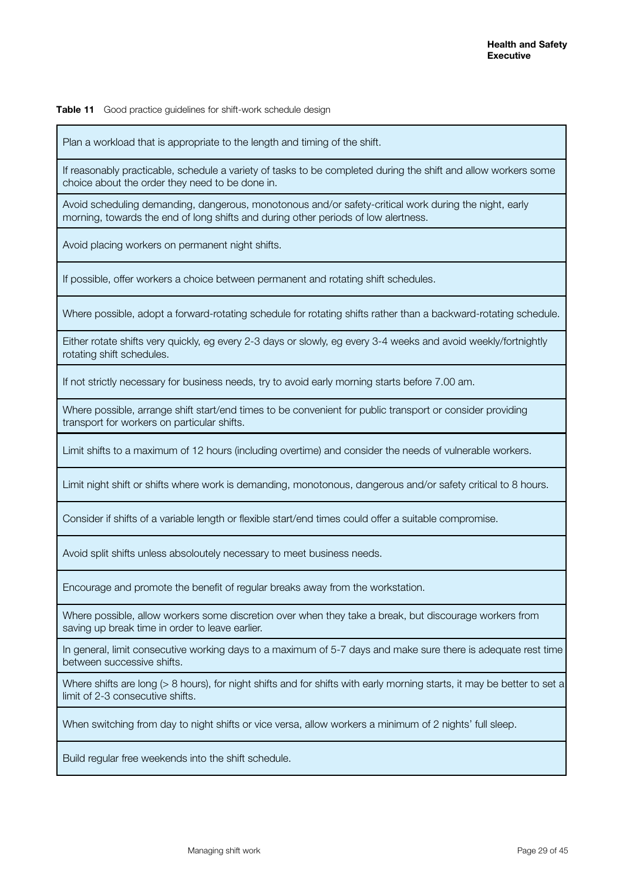**Table 11** Good practice guidelines for shift-work schedule design

Plan a workload that is appropriate to the length and timing of the shift.

If reasonably practicable, schedule a variety of tasks to be completed during the shift and allow workers some choice about the order they need to be done in.

Avoid scheduling demanding, dangerous, monotonous and/or safety-critical work during the night, early morning, towards the end of long shifts and during other periods of low alertness.

Avoid placing workers on permanent night shifts.

If possible, offer workers a choice between permanent and rotating shift schedules.

Where possible, adopt a forward-rotating schedule for rotating shifts rather than a backward-rotating schedule.

Either rotate shifts very quickly, eg every 2-3 days or slowly, eg every 3-4 weeks and avoid weekly/fortnightly rotating shift schedules.

If not strictly necessary for business needs, try to avoid early morning starts before 7.00 am.

Where possible, arrange shift start/end times to be convenient for public transport or consider providing transport for workers on particular shifts.

Limit shifts to a maximum of 12 hours (including overtime) and consider the needs of vulnerable workers.

Limit night shift or shifts where work is demanding, monotonous, dangerous and/or safety critical to 8 hours.

Consider if shifts of a variable length or flexible start/end times could offer a suitable compromise.

Avoid split shifts unless absoloutely necessary to meet business needs.

Encourage and promote the benefit of regular breaks away from the workstation.

Where possible, allow workers some discretion over when they take a break, but discourage workers from saving up break time in order to leave earlier.

In general, limit consecutive working days to a maximum of 5-7 days and make sure there is adequate rest time between successive shifts.

Where shifts are long (> 8 hours), for night shifts and for shifts with early morning starts, it may be better to set a limit of 2-3 consecutive shifts.

When switching from day to night shifts or vice versa, allow workers a minimum of 2 nights' full sleep.

Build regular free weekends into the shift schedule.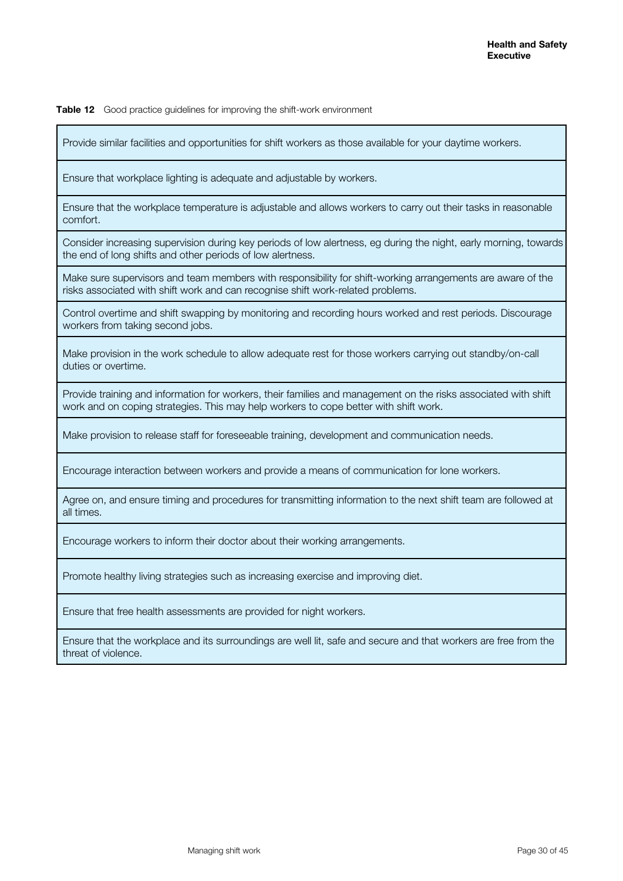**Table 12** Good practice guidelines for improving the shift-work environment

Provide similar facilities and opportunities for shift workers as those available for your daytime workers.

Ensure that workplace lighting is adequate and adjustable by workers.

Ensure that the workplace temperature is adjustable and allows workers to carry out their tasks in reasonable comfort.

Consider increasing supervision during key periods of low alertness, eg during the night, early morning, towards the end of long shifts and other periods of low alertness.

Make sure supervisors and team members with responsibility for shift-working arrangements are aware of the risks associated with shift work and can recognise shift work-related problems.

Control overtime and shift swapping by monitoring and recording hours worked and rest periods. Discourage workers from taking second jobs.

Make provision in the work schedule to allow adequate rest for those workers carrying out standby/on-call duties or overtime.

Provide training and information for workers, their families and management on the risks associated with shift work and on coping strategies. This may help workers to cope better with shift work.

Make provision to release staff for foreseeable training, development and communication needs.

Encourage interaction between workers and provide a means of communication for lone workers.

Agree on, and ensure timing and procedures for transmitting information to the next shift team are followed at all times.

Encourage workers to inform their doctor about their working arrangements.

Promote healthy living strategies such as increasing exercise and improving diet.

Ensure that free health assessments are provided for night workers.

Ensure that the workplace and its surroundings are well lit, safe and secure and that workers are free from the threat of violence.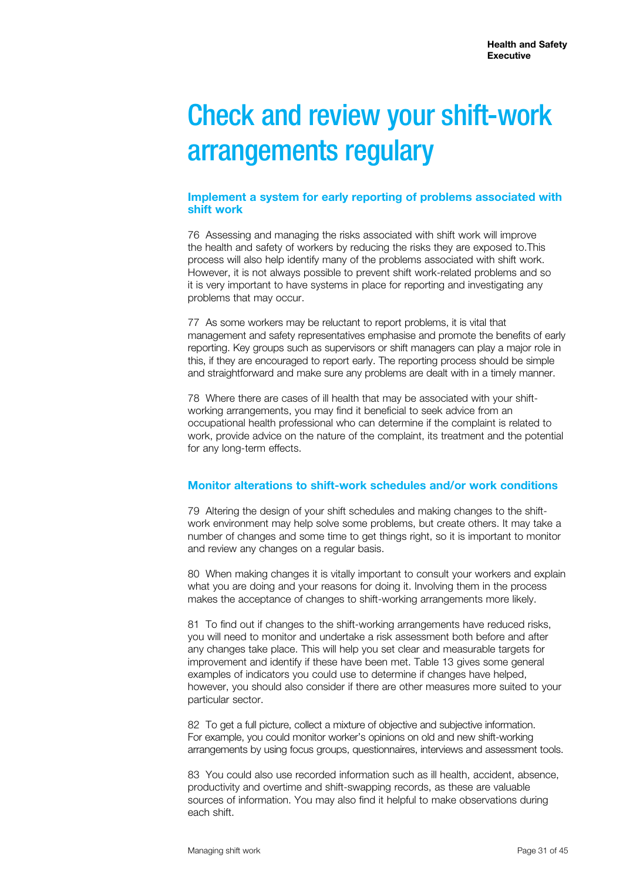# Check and review your shift-work arrangements regulary

#### **Implement a system for early reporting of problems associated with shift work**

76 Assessing and managing the risks associated with shift work will improve the health and safety of workers by reducing the risks they are exposed to.This process will also help identify many of the problems associated with shift work. However, it is not always possible to prevent shift work-related problems and so it is very important to have systems in place for reporting and investigating any problems that may occur.

77 As some workers may be reluctant to report problems, it is vital that management and safety representatives emphasise and promote the benefits of early reporting. Key groups such as supervisors or shift managers can play a major role in this, if they are encouraged to report early. The reporting process should be simple and straightforward and make sure any problems are dealt with in a timely manner.

78 Where there are cases of ill health that may be associated with your shiftworking arrangements, you may find it beneficial to seek advice from an occupational health professional who can determine if the complaint is related to work, provide advice on the nature of the complaint, its treatment and the potential for any long-term effects.

# **Monitor alterations to shift-work schedules and/or work conditions**

79 Altering the design of your shift schedules and making changes to the shiftwork environment may help solve some problems, but create others. It may take a number of changes and some time to get things right, so it is important to monitor and review any changes on a regular basis.

80 When making changes it is vitally important to consult your workers and explain what you are doing and your reasons for doing it. Involving them in the process makes the acceptance of changes to shift-working arrangements more likely.

81 To find out if changes to the shift-working arrangements have reduced risks, you will need to monitor and undertake a risk assessment both before and after any changes take place. This will help you set clear and measurable targets for improvement and identify if these have been met. Table 13 gives some general examples of indicators you could use to determine if changes have helped, however, you should also consider if there are other measures more suited to your particular sector.

82 To get a full picture, collect a mixture of objective and subjective information. For example, you could monitor worker's opinions on old and new shift-working arrangements by using focus groups, questionnaires, interviews and assessment tools.

83 You could also use recorded information such as ill health, accident, absence, productivity and overtime and shift-swapping records, as these are valuable sources of information. You may also find it helpful to make observations during each shift.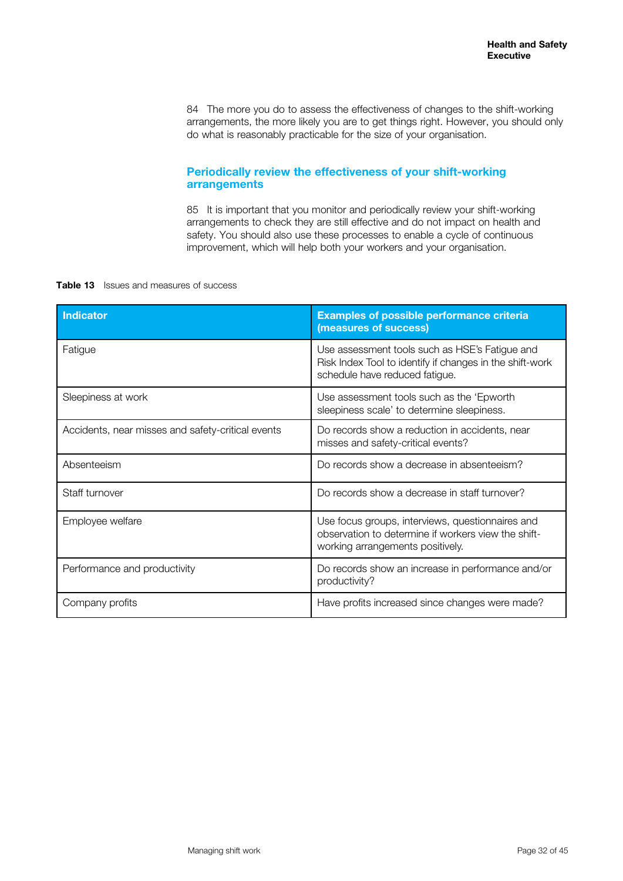84 The more you do to assess the effectiveness of changes to the shift-working arrangements, the more likely you are to get things right. However, you should only do what is reasonably practicable for the size of your organisation.

### **Periodically review the effectiveness of your shift-working arrangements**

85 It is important that you monitor and periodically review your shift-working arrangements to check they are still effective and do not impact on health and safety. You should also use these processes to enable a cycle of continuous improvement, which will help both your workers and your organisation.

#### **Table 13** Issues and measures of success

| <b>Indicator</b>                                  | <b>Examples of possible performance criteria</b><br>(measures of success)                                                                    |
|---------------------------------------------------|----------------------------------------------------------------------------------------------------------------------------------------------|
| Fatigue                                           | Use assessment tools such as HSE's Fatigue and<br>Risk Index Tool to identify if changes in the shift-work<br>schedule have reduced fatigue. |
| Sleepiness at work                                | Use assessment tools such as the 'Epworth'<br>sleepiness scale' to determine sleepiness.                                                     |
| Accidents, near misses and safety-critical events | Do records show a reduction in accidents, near<br>misses and safety-critical events?                                                         |
| Absenteeism                                       | Do records show a decrease in absenteeism?                                                                                                   |
| Staff turnover                                    | Do records show a decrease in staff turnover?                                                                                                |
| Employee welfare                                  | Use focus groups, interviews, questionnaires and<br>observation to determine if workers view the shift-<br>working arrangements positively.  |
| Performance and productivity                      | Do records show an increase in performance and/or<br>productivity?                                                                           |
| Company profits                                   | Have profits increased since changes were made?                                                                                              |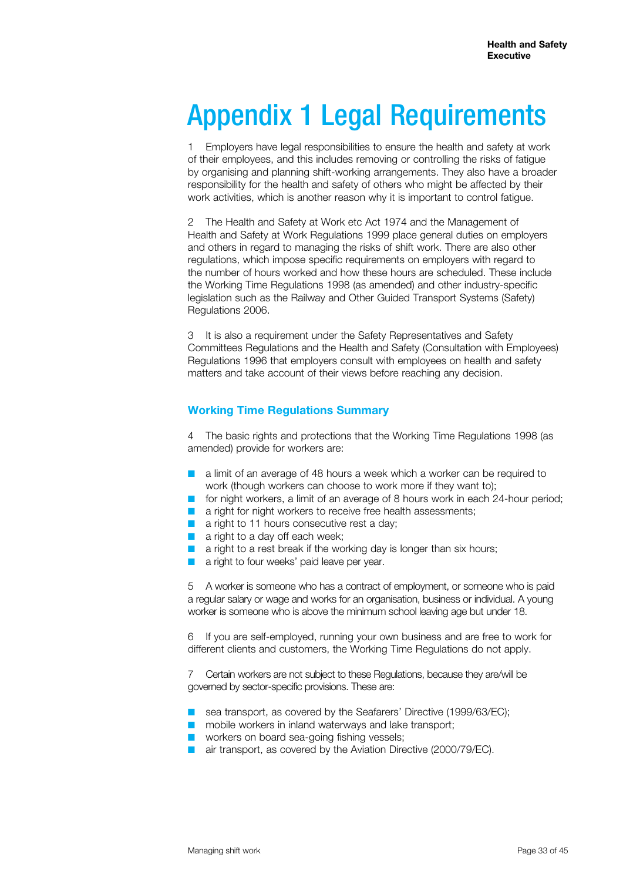# Appendix 1 Legal Requirements

1 Employers have legal responsibilities to ensure the health and safety at work of their employees, and this includes removing or controlling the risks of fatigue by organising and planning shift-working arrangements. They also have a broader responsibility for the health and safety of others who might be affected by their work activities, which is another reason why it is important to control fatigue.

2 The Health and Safety at Work etc Act 1974 and the Management of Health and Safety at Work Regulations 1999 place general duties on employers and others in regard to managing the risks of shift work. There are also other regulations, which impose specific requirements on employers with regard to the number of hours worked and how these hours are scheduled. These include the Working Time Regulations 1998 (as amended) and other industry-specific legislation such as the Railway and Other Guided Transport Systems (Safety) Regulations 2006.

3 It is also a requirement under the Safety Representatives and Safety Committees Regulations and the Health and Safety (Consultation with Employees) Regulations 1996 that employers consult with employees on health and safety matters and take account of their views before reaching any decision.

### **Working Time Regulations Summary**

4 The basic rights and protections that the Working Time Regulations 1998 (as amended) provide for workers are:

- $\blacksquare$  a limit of an average of 48 hours a week which a worker can be required to work (though workers can choose to work more if they want to);
- for night workers, a limit of an average of 8 hours work in each 24-hour period;
- $\blacksquare$  a right for night workers to receive free health assessments;
- $\blacksquare$  a right to 11 hours consecutive rest a day:
- $\blacksquare$  a right to a day off each week;
- a right to a rest break if the working day is longer than six hours;
- a right to four weeks' paid leave per year.

5 A worker is someone who has a contract of employment, or someone who is paid a regular salary or wage and works for an organisation, business or individual. A young worker is someone who is above the minimum school leaving age but under 18.

If you are self-employed, running your own business and are free to work for different clients and customers, the Working Time Regulations do not apply.

7 Certain workers are not subject to these Regulations, because they are/will be governed by sector-specific provisions. These are:

- sea transport, as covered by the Seafarers' Directive (1999/63/EC);
- $\blacksquare$  mobile workers in inland waterways and lake transport;
- $\blacksquare$  workers on board sea-going fishing vessels:
- air transport, as covered by the Aviation Directive (2000/79/EC).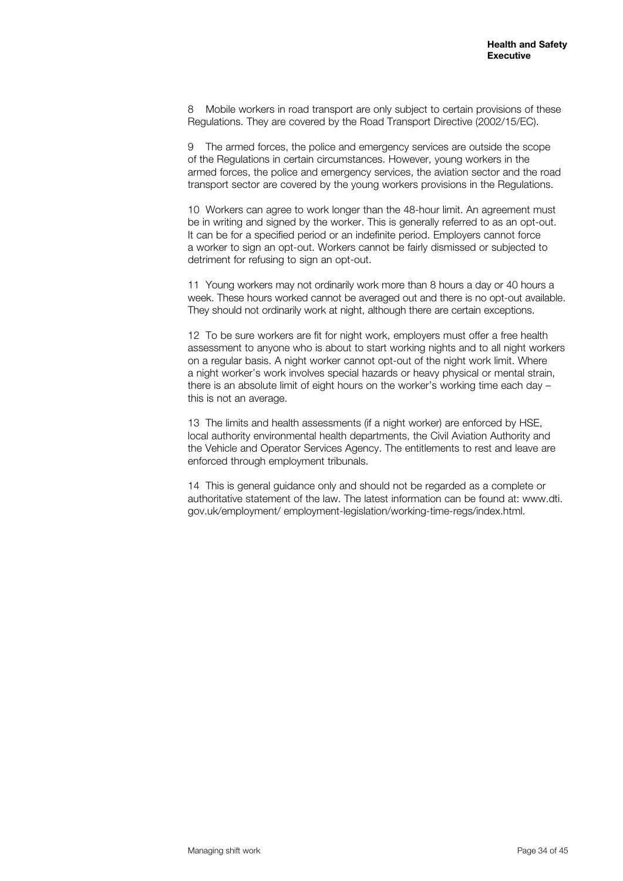8 Mobile workers in road transport are only subject to certain provisions of these Regulations. They are covered by the Road Transport Directive (2002/15/EC).

9 The armed forces, the police and emergency services are outside the scope of the Regulations in certain circumstances. However, young workers in the armed forces, the police and emergency services, the aviation sector and the road transport sector are covered by the young workers provisions in the Regulations.

10 Workers can agree to work longer than the 48-hour limit. An agreement must be in writing and signed by the worker. This is generally referred to as an opt-out. It can be for a specified period or an indefinite period. Employers cannot force a worker to sign an opt-out. Workers cannot be fairly dismissed or subjected to detriment for refusing to sign an opt-out.

11 Young workers may not ordinarily work more than 8 hours a day or 40 hours a week. These hours worked cannot be averaged out and there is no opt-out available. They should not ordinarily work at night, although there are certain exceptions.

12 To be sure workers are fit for night work, employers must offer a free health assessment to anyone who is about to start working nights and to all night workers on a regular basis. A night worker cannot opt-out of the night work limit. Where a night worker's work involves special hazards or heavy physical or mental strain, there is an absolute limit of eight hours on the worker's working time each day this is not an average.

13 The limits and health assessments (if a night worker) are enforced by HSE, local authority environmental health departments, the Civil Aviation Authority and the Vehicle and Operator Services Agency. The entitlements to rest and leave are enforced through employment tribunals.

14 This is general guidance only and should not be regarded as a complete or authoritative statement of the law. The latest information can be found at: www.dti. gov.uk/employment/ employment-legislation/working-time-regs/index.html.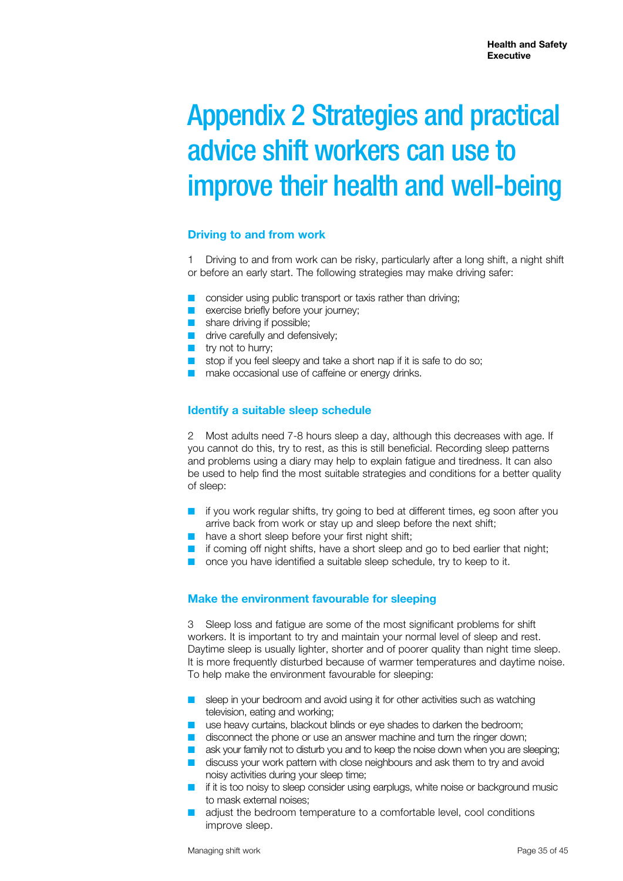# Appendix 2 Strategies and practical advice shift workers can use to improve their health and well-being

### **Driving to and from work**

1 Driving to and from work can be risky, particularly after a long shift, a night shift or before an early start. The following strategies may make driving safer:

- $\blacksquare$  consider using public transport or taxis rather than driving;
- **n** exercise briefly before your journey;
- $\blacksquare$  share driving if possible;
- $\blacksquare$  drive carefully and defensively;
- $\blacksquare$  try not to hurry;
- $\blacksquare$  stop if you feel sleepy and take a short nap if it is safe to do so;
- $\blacksquare$  make occasional use of caffeine or energy drinks.

#### **Identify a suitable sleep schedule**

2 Most adults need 7-8 hours sleep a day, although this decreases with age. If you cannot do this, try to rest, as this is still beneficial. Recording sleep patterns and problems using a diary may help to explain fatigue and tiredness. It can also be used to help find the most suitable strategies and conditions for a better quality of sleep:

- $\blacksquare$  if you work regular shifts, try going to bed at different times, eg soon after you arrive back from work or stay up and sleep before the next shift;
- $\blacksquare$  have a short sleep before your first night shift;
- $\blacksquare$  if coming off night shifts, have a short sleep and go to bed earlier that night;
- $\Box$  once you have identified a suitable sleep schedule, try to keep to it.

#### **Make the environment favourable for sleeping**

3 Sleep loss and fatigue are some of the most significant problems for shift workers. It is important to try and maintain your normal level of sleep and rest. Daytime sleep is usually lighter, shorter and of poorer quality than night time sleep. It is more frequently disturbed because of warmer temperatures and daytime noise. To help make the environment favourable for sleeping:

- $\blacksquare$  sleep in your bedroom and avoid using it for other activities such as watching television, eating and working;
- $\blacksquare$  use heavy curtains, blackout blinds or eye shades to darken the bedroom;
- $\blacksquare$  disconnect the phone or use an answer machine and turn the ringer down;
- $\blacksquare$  ask your family not to disturb you and to keep the noise down when you are sleeping;
- $\blacksquare$  discuss your work pattern with close neighbours and ask them to try and avoid noisy activities during your sleep time;
- $\blacksquare$  if it is too noisy to sleep consider using earplugs, white noise or background music to mask external noises;
- adjust the bedroom temperature to a comfortable level, cool conditions improve sleep.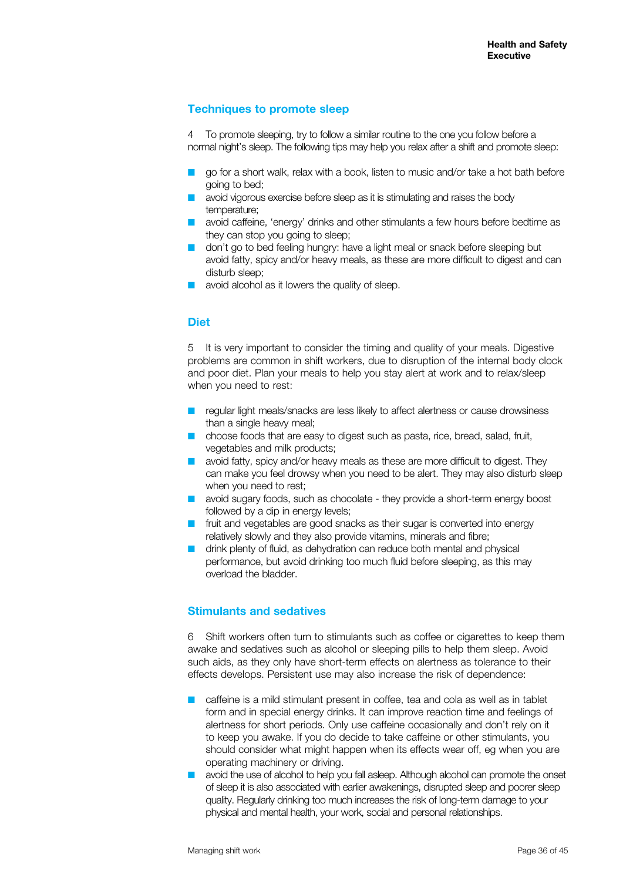# **Techniques to promote sleep**

4 To promote sleeping, try to follow a similar routine to the one you follow before a normal night's sleep. The following tips may help you relax after a shift and promote sleep:

- go for a short walk, relax with a book, listen to music and/or take a hot bath before going to bed;
- $\blacksquare$  avoid vigorous exercise before sleep as it is stimulating and raises the body temperature;
- **n** avoid caffeine, 'energy' drinks and other stimulants a few hours before bedtime as they can stop you going to sleep;
- a don't go to bed feeling hungry: have a light meal or snack before sleeping but avoid fatty, spicy and/or heavy meals, as these are more difficult to digest and can disturb sleep:
- avoid alcohol as it lowers the quality of sleep.

### **Diet**

5 It is very important to consider the timing and quality of your meals. Digestive problems are common in shift workers, due to disruption of the internal body clock and poor diet. Plan your meals to help you stay alert at work and to relax/sleep when you need to rest:

- regular light meals/snacks are less likely to affect alertness or cause drowsiness than a single heavy meal;
- choose foods that are easy to digest such as pasta, rice, bread, salad, fruit, vegetables and milk products;
- $\blacksquare$  avoid fatty, spicy and/or heavy meals as these are more difficult to digest. They can make you feel drowsy when you need to be alert. They may also disturb sleep when you need to rest;
- $\blacksquare$  avoid sugary foods, such as chocolate they provide a short-term energy boost followed by a dip in energy levels:
- $\blacksquare$  fruit and vegetables are good snacks as their sugar is converted into energy relatively slowly and they also provide vitamins, minerals and fibre;
- $\blacksquare$  drink plenty of fluid, as dehydration can reduce both mental and physical performance, but avoid drinking too much fluid before sleeping, as this may overload the bladder.

#### **Stimulants and sedatives**

6 Shift workers often turn to stimulants such as coffee or cigarettes to keep them awake and sedatives such as alcohol or sleeping pills to help them sleep. Avoid such aids, as they only have short-term effects on alertness as tolerance to their effects develops. Persistent use may also increase the risk of dependence:

- caffeine is a mild stimulant present in coffee, tea and cola as well as in tablet form and in special energy drinks. It can improve reaction time and feelings of alertness for short periods. Only use caffeine occasionally and don't rely on it to keep you awake. If you do decide to take caffeine or other stimulants, you should consider what might happen when its effects wear off, eg when you are operating machinery or driving.
- $\blacksquare$  avoid the use of alcohol to help you fall asleep. Although alcohol can promote the onset of sleep it is also associated with earlier awakenings, disrupted sleep and poorer sleep quality. Regularly drinking too much increases the risk of long-term damage to your physical and mental health, your work, social and personal relationships.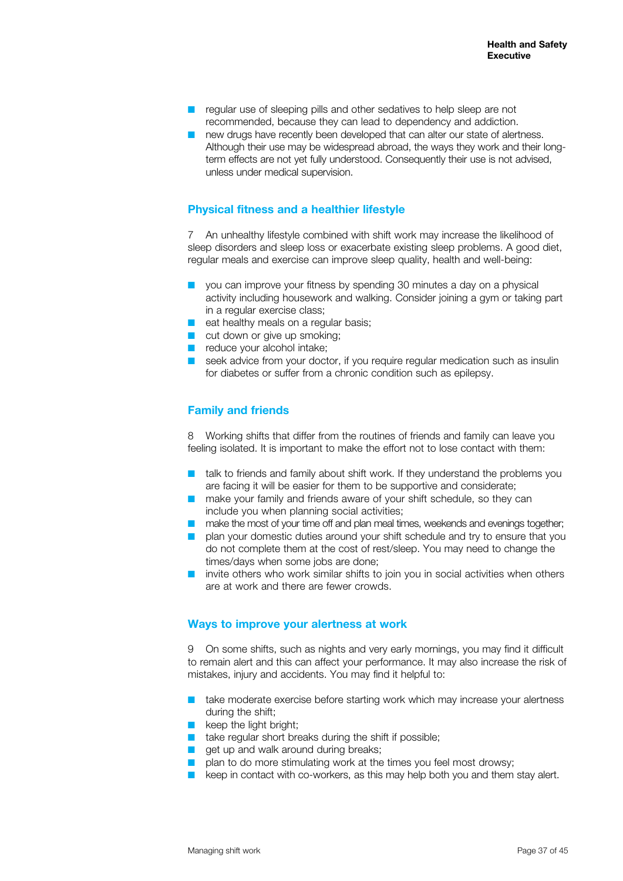- $\blacksquare$  regular use of sleeping pills and other sedatives to help sleep are not recommended, because they can lead to dependency and addiction.
- $\blacksquare$  new drugs have recently been developed that can alter our state of alertness. Although their use may be widespread abroad, the ways they work and their longterm effects are not yet fully understood. Consequently their use is not advised, unless under medical supervision.

### **Physical fitness and a healthier lifestyle**

7 An unhealthy lifestyle combined with shift work may increase the likelihood of sleep disorders and sleep loss or exacerbate existing sleep problems. A good diet, regular meals and exercise can improve sleep quality, health and well-being:

- $\blacksquare$  you can improve your fitness by spending 30 minutes a day on a physical activity including housework and walking. Consider joining a gym or taking part in a regular exercise class;
- $\blacksquare$  eat healthy meals on a regular basis;
- $\blacksquare$  cut down or give up smoking;
- $\blacksquare$  reduce your alcohol intake;
- $\blacksquare$  seek advice from your doctor, if you require regular medication such as insulin for diabetes or suffer from a chronic condition such as epilepsy.

### **Family and friends**

8 Working shifts that differ from the routines of friends and family can leave you feeling isolated. It is important to make the effort not to lose contact with them:

- $\blacksquare$  talk to friends and family about shift work. If they understand the problems you are facing it will be easier for them to be supportive and considerate;
- make your family and friends aware of your shift schedule, so they can include you when planning social activities;
- $\blacksquare$  make the most of your time off and plan meal times, weekends and evenings together;
- $\Box$  plan your domestic duties around your shift schedule and try to ensure that you do not complete them at the cost of rest/sleep. You may need to change the times/days when some jobs are done;
- $\blacksquare$  invite others who work similar shifts to join you in social activities when others are at work and there are fewer crowds.

# **Ways to improve your alertness at work**

9 On some shifts, such as nights and very early mornings, you may find it difficult to remain alert and this can affect your performance. It may also increase the risk of mistakes, injury and accidents. You may find it helpful to:

- $\blacksquare$  take moderate exercise before starting work which may increase your alertness during the shift;
- $\blacksquare$  keep the light bright;
- $\blacksquare$  take regular short breaks during the shift if possible:
- $\Box$  get up and walk around during breaks;
- $\blacksquare$  plan to do more stimulating work at the times you feel most drowsy;
- $\blacksquare$  keep in contact with co-workers, as this may help both you and them stay alert.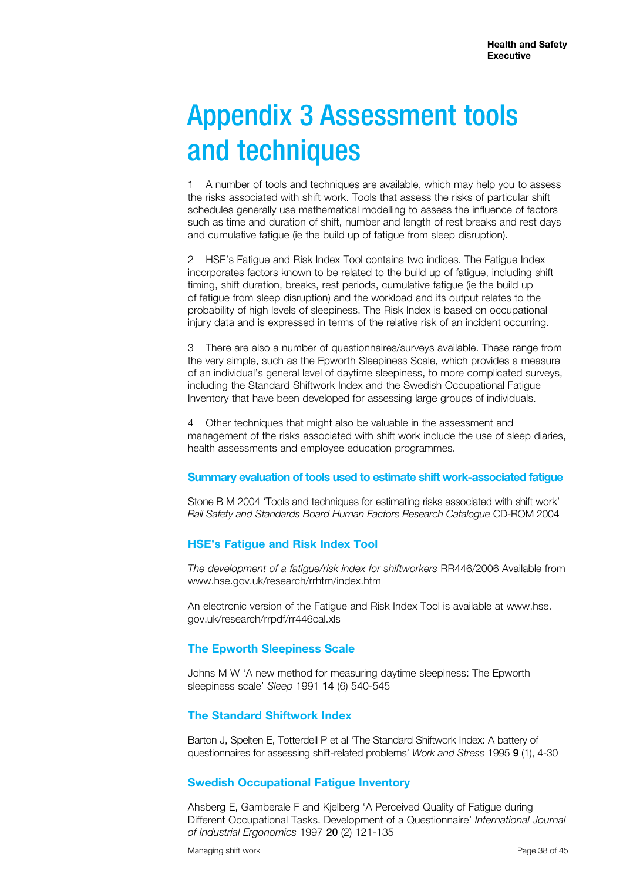# Appendix 3 Assessment tools and techniques

1 A number of tools and techniques are available, which may help you to assess the risks associated with shift work. Tools that assess the risks of particular shift schedules generally use mathematical modelling to assess the influence of factors such as time and duration of shift, number and length of rest breaks and rest days and cumulative fatigue (ie the build up of fatigue from sleep disruption).

2 HSE's Fatigue and Risk Index Tool contains two indices. The Fatigue Index incorporates factors known to be related to the build up of fatigue, including shift timing, shift duration, breaks, rest periods, cumulative fatigue (ie the build up of fatigue from sleep disruption) and the workload and its output relates to the probability of high levels of sleepiness. The Risk Index is based on occupational injury data and is expressed in terms of the relative risk of an incident occurring.

3 There are also a number of questionnaires/surveys available. These range from the very simple, such as the Epworth Sleepiness Scale, which provides a measure of an individual's general level of daytime sleepiness, to more complicated surveys, including the Standard Shiftwork Index and the Swedish Occupational Fatigue Inventory that have been developed for assessing large groups of individuals.

4 Other techniques that might also be valuable in the assessment and management of the risks associated with shift work include the use of sleep diaries, health assessments and employee education programmes.

#### **Summary evaluation of tools used to estimate shift work-associated fatigue**

Stone B M 2004 'Tools and techniques for estimating risks associated with shift work' *Rail Safety and Standards Board Human Factors Research Catalogue* CD-ROM 2004

#### **HSE's Fatigue and Risk Index Tool**

*The development of a fatigue/risk index for shiftworkers* RR446/2006 Available from www.hse.gov.uk/research/rrhtm/index.htm

An electronic version of the Fatigue and Risk Index Tool is available at www.hse. gov.uk/research/rrpdf/rr446cal.xls

#### **The Epworth Sleepiness Scale**

Johns M W 'A new method for measuring daytime sleepiness: The Epworth sleepiness scale' *Sleep* 1991 14 (6) 540-545

#### **The Standard Shiftwork Index**

Barton J, Spelten E, Totterdell P et al 'The Standard Shiftwork Index: A battery of questionnaires for assessing shift-related problems' *Work and Stress* 1995 9 (1), 4-30

#### **Swedish Occupational Fatigue Inventory**

Ahsberg E, Gamberale F and Kjelberg 'A Perceived Quality of Fatigue during Different Occupational Tasks. Development of a Questionnaire' *International Journal of Industrial Ergonomics* 1997 20 (2) 121-135

Managing shift work **Page 38 of 45** of 45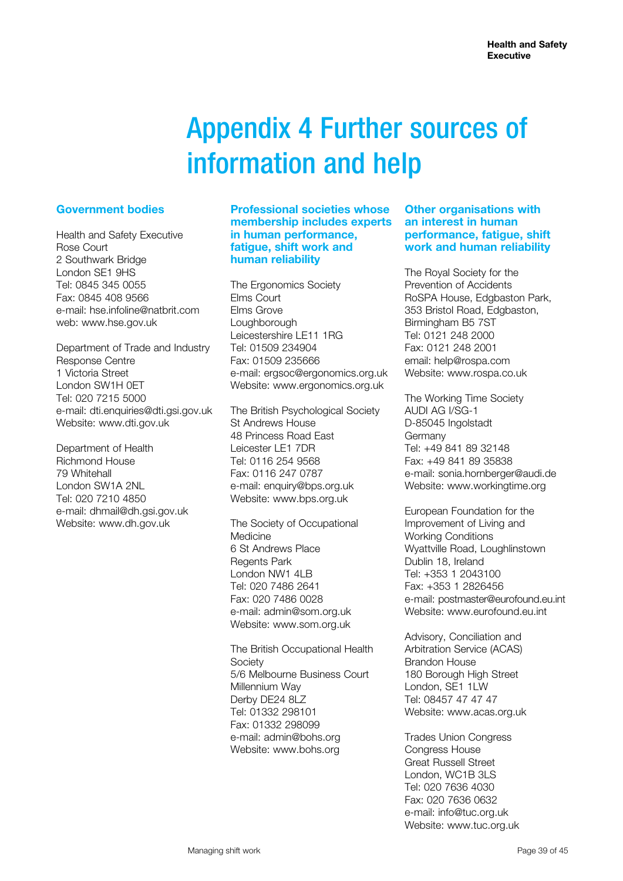# Appendix 4 Further sources of information and help

### **Government bodies**

Health and Safety Executive Rose Court 2 Southwark Bridge London SE1 9HS Tel: 0845 345 0055 Fax: 0845 408 9566 e-mail: hse.infoline@natbrit.com web: www.hse.gov.uk

Department of Trade and Industry Response Centre 1 Victoria Street London SW1H 0ET Tel: 020 7215 5000 e-mail: dti.enquiries@dti.gsi.gov.uk Website: www.dti.gov.uk

Department of Health Richmond House 79 Whitehall London SW1A 2NL Tel: 020 7210 4850 e-mail: dhmail@dh.gsi.gov.uk Website: www.dh.gov.uk

#### **Professional societies whose membership includes experts in human performance, fatigue, shift work and human reliability**

The Ergonomics Society Elms Court Elms Grove Loughborough Leicestershire LE11 1RG Tel: 01509 234904 Fax: 01509 235666 e-mail: ergsoc@ergonomics.org.uk Website: www.ergonomics.org.uk

The British Psychological Society St Andrews House 48 Princess Road East Leicester LE1 7DR Tel: 0116 254 9568 Fax: 0116 247 0787 e-mail: enquiry@bps.org.uk Website: www.bps.org.uk

The Society of Occupational Medicine 6 St Andrews Place Regents Park London NW1 4LB Tel: 020 7486 2641 Fax: 020 7486 0028 e-mail: admin@som.org.uk Website: www.som.org.uk

The British Occupational Health Society 5/6 Melbourne Business Court Millennium Way Derby DF24 8LZ Tel: 01332 298101 Fax: 01332 298099 e-mail: admin@bohs.org Website: www.bohs.org

#### **Other organisations with an interest in human performance, fatigue, shift work and human reliability**

The Royal Society for the Prevention of Accidents RoSPA House, Edgbaston Park, 353 Bristol Road, Edgbaston, Birmingham B5 7ST Tel: 0121 248 2000 Fax: 0121 248 2001 email: help@rospa.com Website: www.rospa.co.uk

The Working Time Society AUDI AG I/SG-1 D-85045 Ingolstadt Germany Tel: +49 841 89 32148 Fax: +49 841 89 35838 e-mail: sonia.hornberger@audi.de Website: www.workingtime.org

European Foundation for the Improvement of Living and Working Conditions Wyattville Road, Loughlinstown Dublin 18, Ireland Tel: +353 1 2043100 Fax: +353 1 2826456 e-mail: postmaster@eurofound.eu.int Website: www.eurofound.eu.int

Advisory, Conciliation and Arbitration Service (ACAS) Brandon House 180 Borough High Street London, SE1 1LW Tel: 08457 47 47 47 Website: www.acas.org.uk

Trades Union Congress Congress House Great Russell Street London, WC1B 3LS Tel: 020 7636 4030 Fax: 020 7636 0632 e-mail: info@tuc.org.uk Website: www.tuc.org.uk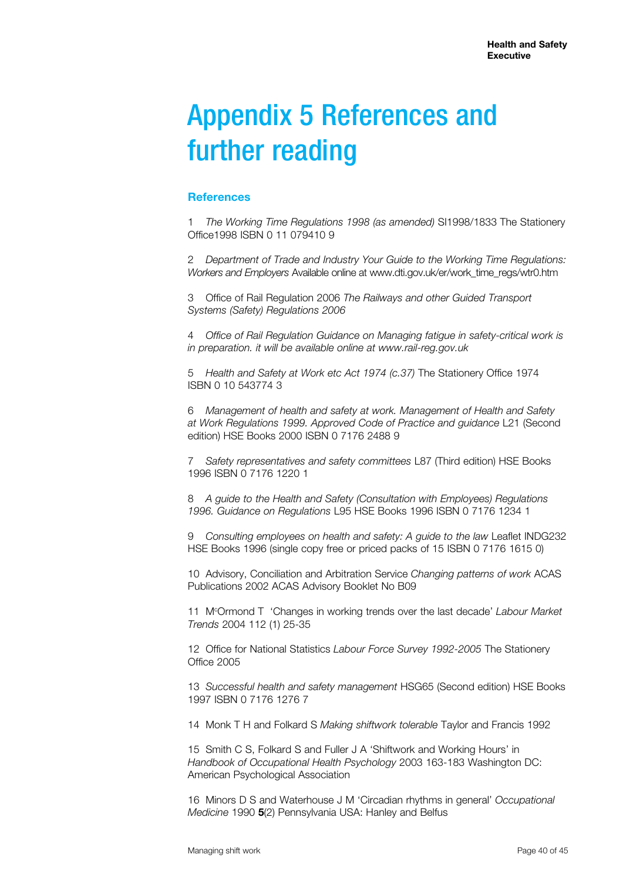# Appendix 5 References and further reading

#### **References**

1 *The Working Time Regulations 1998 (as amended)* SI1998/1833 The Stationery Office1998 ISBN 0 11 079410 9

2 *Department of Trade and Industry Your Guide to the Working Time Regulations: Workers and Employers* Available online at www.dti.gov.uk/er/work\_time\_regs/wtr0.htm

3 Office of Rail Regulation 2006 *The Railways and other Guided Transport Systems (Safety) Regulations 2006*

4 *Office of Rail Regulation Guidance on Managing fatigue in safety-critical work is in preparation. it will be available online at www.rail-reg.gov.uk*

5 *Health and Safety at Work etc Act 1974 (c.37)* The Stationery Office 1974 ISBN 0 10 543774 3

6 *Management of health and safety at work. Management of Health and Safety at Work Regulations 1999. Approved Code of Practice and guidance* L21 (Second edition) HSE Books 2000 ISBN 0 7176 2488 9

7 *Safety representatives and safety committees* L87 (Third edition) HSE Books 1996 ISBN 0 7176 1220 1

8 *A guide to the Health and Safety (Consultation with Employees) Regulations 1996. Guidance on Regulations* L95 HSE Books 1996 ISBN 0 7176 1234 1

9 *Consulting employees on health and safety: A guide to the law* Leaflet INDG232 HSE Books 1996 (single copy free or priced packs of 15 ISBN 0 7176 1615 0)

10 Advisory, Conciliation and Arbitration Service *Changing patterns of work* ACAS Publications 2002 ACAS Advisory Booklet No B09

11 Mc Ormond T 'Changes in working trends over the last decade' *Labour Market Trends* 2004 112 (1) 25-35

12 Office for National Statistics *Labour Force Survey 1992-2005* The Stationery Office 2005

13 *Successful health and safety management* HSG65 (Second edition) HSE Books 1997 ISBN 0 7176 1276 7

14 Monk T H and Folkard S *Making shiftwork tolerable* Taylor and Francis 1992

15 Smith C S, Folkard S and Fuller J A 'Shiftwork and Working Hours' in *Handbook of Occupational Health Psychology* 2003 163-183 Washington DC: American Psychological Association

16 Minors D S and Waterhouse J M 'Circadian rhythms in general' *Occupational Medicine* 1990 **5**(2) Pennsylvania USA: Hanley and Belfus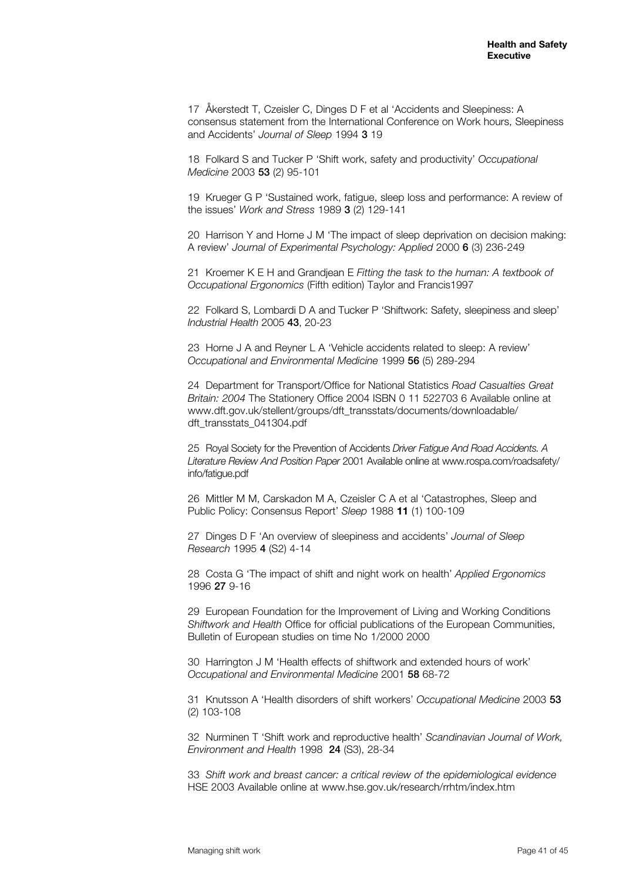17 Åkerstedt T, Czeisler C, Dinges D F et al 'Accidents and Sleepiness: A consensus statement from the International Conference on Work hours, Sleepiness and Accidents' *Journal of Sleep* 1994 3 19

18 Folkard S and Tucker P 'Shift work, safety and productivity' *Occupational Medicine* 2003 53 (2) 95-101

19 Krueger G P 'Sustained work, fatigue, sleep loss and performance: A review of the issues' *Work and Stress* 1989 3 (2) 129-141

20 Harrison Y and Horne J M 'The impact of sleep deprivation on decision making: A review' *Journal of Experimental Psychology: Applied* 2000 6 (3) 236-249

21 Kroemer K E H and Grandjean E *Fitting the task to the human: A textbook of Occupational Ergonomics* (Fifth edition) Taylor and Francis1997

22 Folkard S, Lombardi D A and Tucker P 'Shiftwork: Safety, sleepiness and sleep' *Industrial Health* 2005 43, 20-23

23 Horne J A and Reyner L A 'Vehicle accidents related to sleep: A review' *Occupational and Environmental Medicine* 1999 56 (5) 289-294

24 Department for Transport/Office for National Statistics *Road Casualties Great Britain: 2004* The Stationery Office 2004 ISBN 0 11 522703 6 Available online at www.dft.gov.uk/stellent/groups/dft\_transstats/documents/downloadable/ dft\_transstats\_041304.pdf

25 Royal Society for the Prevention of Accidents *Driver Fatigue And Road Accidents. A Literature Review And Position Paper* 2001 Available online at www.rospa.com/roadsafety/ info/fatigue.pdf

26 Mittler M M, Carskadon M A, Czeisler C A et al 'Catastrophes, Sleep and Public Policy: Consensus Report' *Sleep* 1988 **11** (1) 100-109

27 Dinges D F 'An overview of sleepiness and accidents' *Journal of Sleep Research* 1995 4 (S2) 4-14

28 Costa G 'The impact of shift and night work on health' *Applied Ergonomics* 1996 27 9-16

29 European Foundation for the Improvement of Living and Working Conditions *Shiftwork and Health* Office for official publications of the European Communities, Bulletin of European studies on time No 1/2000 2000

30 Harrington J M 'Health effects of shiftwork and extended hours of work' *Occupational and Environmental Medicine* 2001 58 68-72

31 Knutsson A 'Health disorders of shift workers' *Occupational Medicine* 2003 53 (2) 103-108

32 Nurminen T 'Shift work and reproductive health' *Scandinavian Journal of Work, Environment and Health* 1998 24 (S3), 28-34

33 *Shift work and breast cancer: a critical review of the epidemiological evidence* HSE 2003 Available online at www.hse.gov.uk/research/rrhtm/index.htm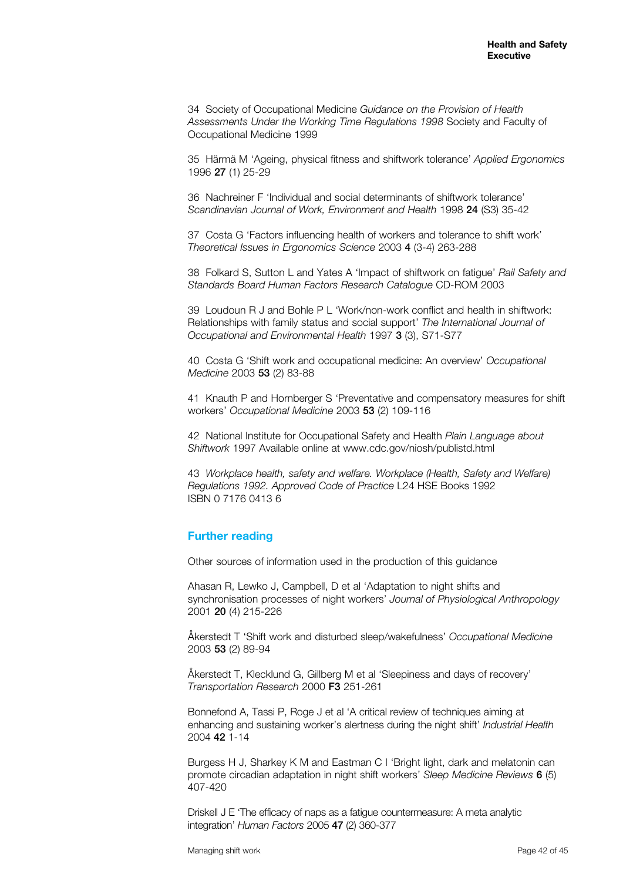34 Society of Occupational Medicine *Guidance on the Provision of Health Assessments Under the Working Time Regulations 1998* Society and Faculty of Occupational Medicine 1999

35 Härmä M 'Ageing, physical fitness and shiftwork tolerance' *Applied Ergonomics* 1996 27 (1) 25-29

36 Nachreiner F 'Individual and social determinants of shiftwork tolerance' *Scandinavian Journal of Work, Environment and Health* 1998 24 (S3) 35-42

37 Costa G 'Factors influencing health of workers and tolerance to shift work' *Theoretical Issues in Ergonomics Science* 2003 4 (3-4) 263-288

38 Folkard S, Sutton L and Yates A 'Impact of shiftwork on fatigue' *Rail Safety and Standards Board Human Factors Research Catalogue* CD-ROM 2003

39 Loudoun R J and Bohle P L 'Work/non-work conflict and health in shiftwork: Relationships with family status and social support' *The International Journal of Occupational and Environmental Health* 1997 3 (3), S71-S77

40 Costa G 'Shift work and occupational medicine: An overview' *Occupational Medicine* 2003 53 (2) 83-88

41 Knauth P and Hornberger S 'Preventative and compensatory measures for shift workers' *Occupational Medicine* 2003 53 (2) 109-116

42 National Institute for Occupational Safety and Health *Plain Language about Shiftwork* 1997 Available online at www.cdc.gov/niosh/publistd.html

43 *Workplace health, safety and welfare. Workplace (Health, Safety and Welfare) Regulations 1992. Approved Code of Practice* L24 HSE Books 1992 ISBN 0 7176 0413 6

#### **Further reading**

Other sources of information used in the production of this guidance

Ahasan R, Lewko J, Campbell, D et al 'Adaptation to night shifts and synchronisation processes of night workers' *Journal of Physiological Anthropology* 2001 20 (4) 215-226

Åkerstedt T 'Shift work and disturbed sleep/wakefulness' *Occupational Medicine* 2003 53 (2) 89-94

Åkerstedt T, Klecklund G, Gillberg M et al 'Sleepiness and days of recovery' *Transportation Research* 2000 F3 251-261

Bonnefond A, Tassi P, Roge J et al 'A critical review of techniques aiming at enhancing and sustaining worker's alertness during the night shift' *Industrial Health*  2004 42 1-14

Burgess H J, Sharkey K M and Eastman C I 'Bright light, dark and melatonin can promote circadian adaptation in night shift workers' *Sleep Medicine Reviews* 6 (5) 407-420

Driskell J E 'The efficacy of naps as a fatigue countermeasure: A meta analytic integration' *Human Factors* 2005 47 (2) 360-377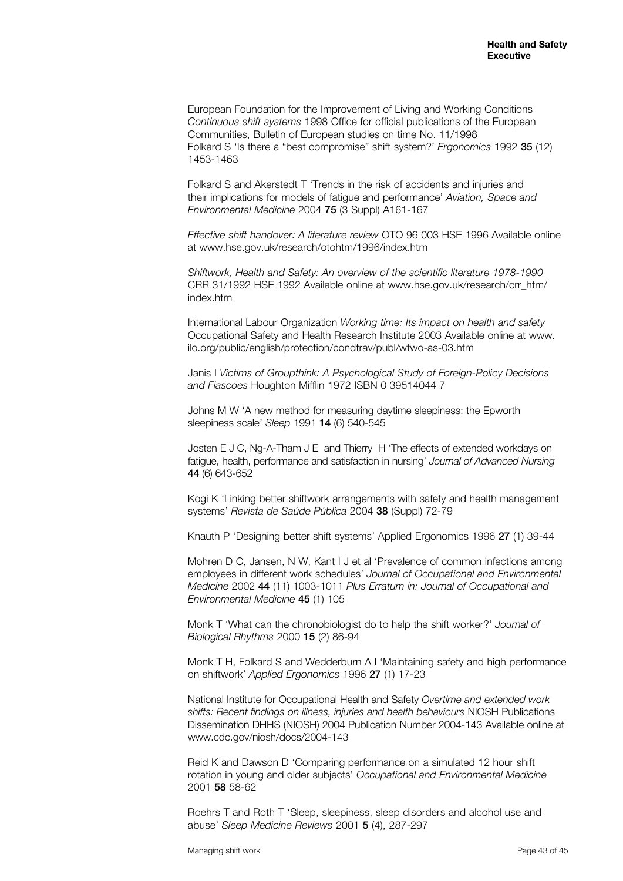European Foundation for the Improvement of Living and Working Conditions *Continuous shift systems* 1998 Office for official publications of the European Communities, Bulletin of European studies on time No. 11/1998 Folkard S 'Is there a "best compromise" shift system?' *Ergonomics* 1992 35 (12) 1453-1463

Folkard S and Akerstedt T 'Trends in the risk of accidents and injuries and their implications for models of fatigue and performance' *Aviation, Space and Environmental Medicine* 2004 75 (3 Suppl) A161-167

*Effective shift handover: A literature review* OTO 96 003 HSE 1996 Available online at www.hse.gov.uk/research/otohtm/1996/index.htm

*Shiftwork, Health and Safety: An overview of the scientific literature 1978-1990* CRR 31/1992 HSE 1992 Available online at www.hse.gov.uk/research/crr\_htm/ index.htm

International Labour Organization *Working time: Its impact on health and safety* Occupational Safety and Health Research Institute 2003 Available online at www. ilo.org/public/english/protection/condtrav/publ/wtwo-as-03.htm

Janis I *Victims of Groupthink: A Psychological Study of Foreign-Policy Decisions and Fiascoes* Houghton Mifflin 1972 ISBN 0 39514044 7

Johns M W 'A new method for measuring daytime sleepiness: the Epworth sleepiness scale' *Sleep* 1991 14 (6) 540-545

Josten E J C, Ng-A-Tham J E and Thierry H 'The effects of extended workdays on fatigue, health, performance and satisfaction in nursing' *Journal of Advanced Nursing* 44 (6) 643-652

Kogi K 'Linking better shiftwork arrangements with safety and health management systems' *Revista de Saúde Pública* 2004 38 (Suppl) 72-79

Knauth P 'Designing better shift systems' Applied Ergonomics 1996 27 (1) 39-44

Mohren D C, Jansen, N W, Kant I J et al 'Prevalence of common infections among employees in different work schedules' *Journal of Occupational and Environmental Medicine* 2002 44 (11) 1003-1011 *Plus Erratum in: Journal of Occupational and Environmental Medicine* 45 (1) 105

Monk T 'What can the chronobiologist do to help the shift worker?' *Journal of Biological Rhythms* 2000 15 (2) 86-94

Monk T H, Folkard S and Wedderburn A I 'Maintaining safety and high performance on shiftwork' *Applied Ergonomics* 1996 27 (1) 17-23

National Institute for Occupational Health and Safety *Overtime and extended work shifts: Recent findings on illness, injuries and health behaviours* NIOSH Publications Dissemination DHHS (NIOSH) 2004 Publication Number 2004-143 Available online at www.cdc.gov/niosh/docs/2004-143

Reid K and Dawson D 'Comparing performance on a simulated 12 hour shift rotation in young and older subjects' *Occupational and Environmental Medicine* 2001 58 58-62

Roehrs T and Roth T 'Sleep, sleepiness, sleep disorders and alcohol use and abuse' *Sleep Medicine Reviews* 2001 5 (4), 287-297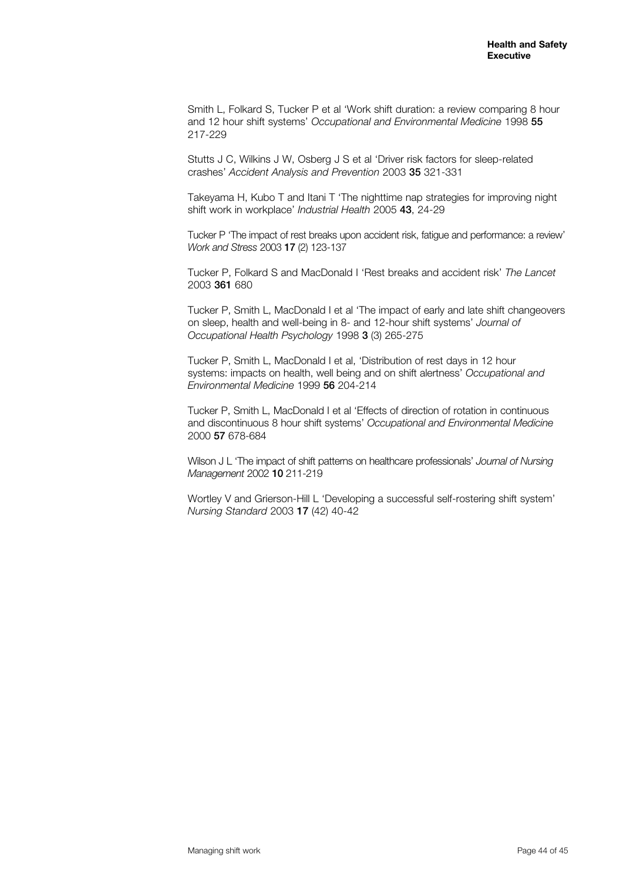Smith L, Folkard S, Tucker P et al 'Work shift duration: a review comparing 8 hour and 12 hour shift systems' *Occupational and Environmental Medicine* 1998 55 217-229

Stutts J C, Wilkins J W, Osberg J S et al 'Driver risk factors for sleep-related crashes' *Accident Analysis and Prevention* 2003 35 321-331

Takeyama H, Kubo T and Itani T 'The nighttime nap strategies for improving night shift work in workplace' *Industrial Health* 2005 43, 24-29

Tucker P 'The impact of rest breaks upon accident risk, fatigue and performance: a review' *Work and Stress* 2003 17 (2) 123-137

Tucker P, Folkard S and MacDonald I 'Rest breaks and accident risk' *The Lancet* 2003 361 680

Tucker P, Smith L, MacDonald I et al 'The impact of early and late shift changeovers on sleep, health and well-being in 8- and 12-hour shift systems' *Journal of Occupational Health Psychology* 1998 3 (3) 265-275

Tucker P, Smith L, MacDonald I et al, 'Distribution of rest days in 12 hour systems: impacts on health, well being and on shift alertness' *Occupational and Environmental Medicine* 1999 56 204-214

Tucker P, Smith L, MacDonald I et al 'Effects of direction of rotation in continuous and discontinuous 8 hour shift systems' *Occupational and Environmental Medicine* 2000 57 678-684

Wilson J L 'The impact of shift patterns on healthcare professionals' *Journal of Nursing Management* 2002 10 211-219

Wortley V and Grierson-Hill L 'Developing a successful self-rostering shift system' *Nursing Standard* 2003 17 (42) 40-42